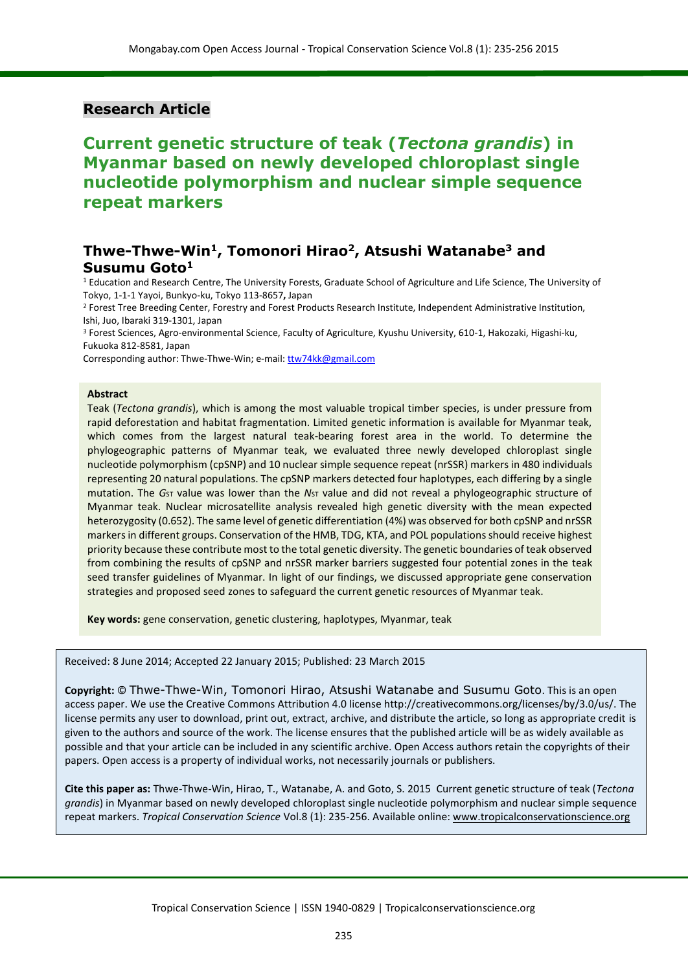### **Research Article**

# **Current genetic structure of teak (***Tectona grandis***) in Myanmar based on newly developed chloroplast single nucleotide polymorphism and nuclear simple sequence repeat markers**

## **Thwe-Thwe-Win<sup>1</sup>, Tomonori Hirao<sup>2</sup>, Atsushi Watanabe<sup>3</sup> and Susumu Goto<sup>1</sup>**

<sup>1</sup> Education and Research Centre, The University Forests, Graduate School of Agriculture and Life Science, The University of Tokyo, 1-1-1 Yayoi, Bunkyo-ku, Tokyo 113-8657**,** Japan

<sup>2</sup> Forest Tree Breeding Center, Forestry and Forest Products Research Institute, Independent Administrative Institution, Ishi, Juo, Ibaraki 319-1301, Japan

<sup>3</sup> Forest Sciences, Agro-environmental Science, Faculty of Agriculture, Kyushu University, 610-1, Hakozaki, Higashi-ku, Fukuoka 812-8581, Japan

Corresponding author: Thwe-Thwe-Win; e-mail: tw74kk@gmail.com

#### **Abstract**

Teak (*Tectona grandis*), which is among the most valuable tropical timber species, is under pressure from rapid deforestation and habitat fragmentation. Limited genetic information is available for Myanmar teak, which comes from the largest natural teak-bearing forest area in the world. To determine the phylogeographic patterns of Myanmar teak, we evaluated three newly developed chloroplast single nucleotide polymorphism (cpSNP) and 10 nuclear simple sequence repeat (nrSSR) markers in 480 individuals representing 20 natural populations. The cpSNP markers detected four haplotypes, each differing by a single mutation. The G<sub>ST</sub> value was lower than the N<sub>ST</sub> value and did not reveal a phylogeographic structure of Myanmar teak. Nuclear microsatellite analysis revealed high genetic diversity with the mean expected heterozygosity (0.652). The same level of genetic differentiation (4%) was observed for both cpSNP and nrSSR markers in different groups. Conservation of the HMB, TDG, KTA, and POL populations should receive highest priority because these contribute most to the total genetic diversity. The genetic boundaries of teak observed from combining the results of cpSNP and nrSSR marker barriers suggested four potential zones in the teak seed transfer guidelines of Myanmar. In light of our findings, we discussed appropriate gene conservation strategies and proposed seed zones to safeguard the current genetic resources of Myanmar teak.

**Key words:** gene conservation, genetic clustering, haplotypes, Myanmar, teak

Received: 8 June 2014; Accepted 22 January 2015; Published: 23 March 2015

**Copyright:** © Thwe-Thwe-Win, Tomonori Hirao, Atsushi Watanabe and Susumu Goto. This is an open access paper. We use the Creative Commons Attribution 4.0 license http://creativecommons.org/licenses/by/3.0/us/. The license permits any user to download, print out, extract, archive, and distribute the article, so long as appropriate credit is given to the authors and source of the work. The license ensures that the published article will be as widely available as possible and that your article can be included in any scientific archive. Open Access authors retain the copyrights of their papers. Open access is a property of individual works, not necessarily journals or publishers.

**Cite this paper as:** Thwe-Thwe-Win, Hirao, T., Watanabe, A. and Goto, S. 2015 Current genetic structure of teak (*Tectona grandis*) in Myanmar based on newly developed chloroplast single nucleotide polymorphism and nuclear simple sequence repeat markers. *Tropical Conservation Science* Vol.8 (1): 235-256. Available online[: www.tropicalconservationscience.org](http://www.tropicalconservationscience.org/)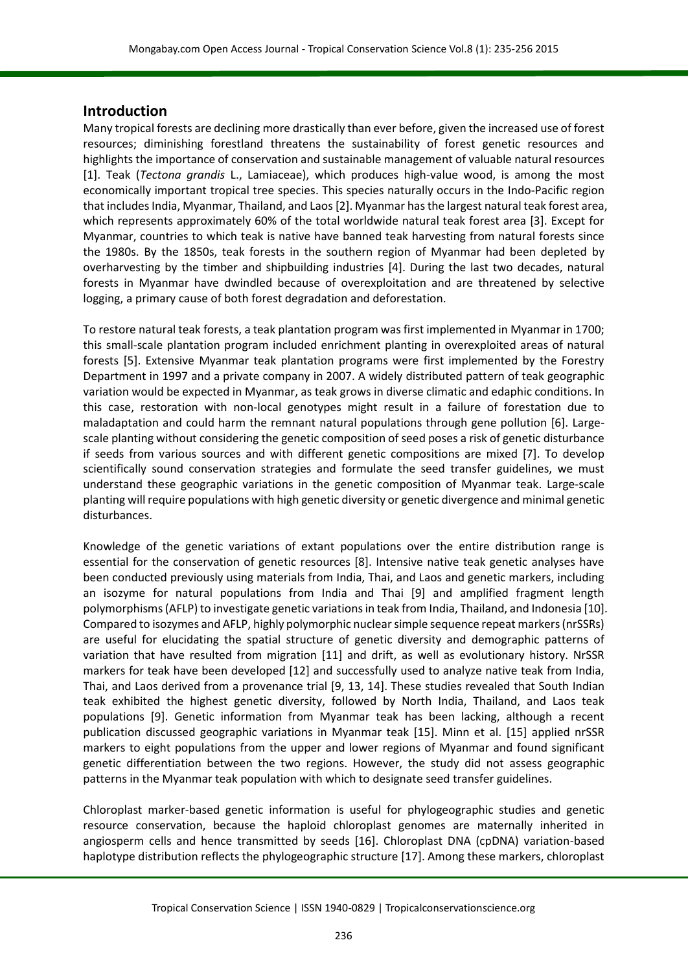### **Introduction**

Many tropical forests are declining more drastically than ever before, given the increased use of forest resources; diminishing forestland threatens the sustainability of forest genetic resources and highlights the importance of conservation and sustainable management of valuable natural resources [1]. Teak (*Tectona grandis* L., Lamiaceae), which produces high-value wood, is among the most economically important tropical tree species. This species naturally occurs in the Indo-Pacific region that includes India, Myanmar, Thailand, and Laos [2]. Myanmar has the largest natural teak forest area, which represents approximately 60% of the total worldwide natural teak forest area [3]. Except for Myanmar, countries to which teak is native have banned teak harvesting from natural forests since the 1980s. By the 1850s, teak forests in the southern region of Myanmar had been depleted by overharvesting by the timber and shipbuilding industries [4]. During the last two decades, natural forests in Myanmar have dwindled because of overexploitation and are threatened by selective logging, a primary cause of both forest degradation and deforestation.

To restore natural teak forests, a teak plantation program was first implemented in Myanmar in 1700; this small-scale plantation program included enrichment planting in overexploited areas of natural forests [5]. Extensive Myanmar teak plantation programs were first implemented by the Forestry Department in 1997 and a private company in 2007. A widely distributed pattern of teak geographic variation would be expected in Myanmar, as teak grows in diverse climatic and edaphic conditions. In this case, restoration with non-local genotypes might result in a failure of forestation due to maladaptation and could harm the remnant natural populations through gene pollution [6]. Largescale planting without considering the genetic composition of seed poses a risk of genetic disturbance if seeds from various sources and with different genetic compositions are mixed [7]. To develop scientifically sound conservation strategies and formulate the seed transfer guidelines, we must understand these geographic variations in the genetic composition of Myanmar teak. Large-scale planting will require populations with high genetic diversity or genetic divergence and minimal genetic disturbances.

Knowledge of the genetic variations of extant populations over the entire distribution range is essential for the conservation of genetic resources [8]. Intensive native teak genetic analyses have been conducted previously using materials from India, Thai, and Laos and genetic markers, including an isozyme for natural populations from India and Thai [9] and amplified fragment length polymorphisms (AFLP) to investigate genetic variations in teak from India, Thailand, and Indonesia [10]. Compared to isozymes and AFLP, highly polymorphic nuclear simple sequence repeat markers (nrSSRs) are useful for elucidating the spatial structure of genetic diversity and demographic patterns of variation that have resulted from migration [11] and drift, as well as evolutionary history. NrSSR markers for teak have been developed [12] and successfully used to analyze native teak from India, Thai, and Laos derived from a provenance trial [9, 13, 14]. These studies revealed that South Indian teak exhibited the highest genetic diversity, followed by North India, Thailand, and Laos teak populations [9]. Genetic information from Myanmar teak has been lacking, although a recent publication discussed geographic variations in Myanmar teak [15]. Minn et al. [15] applied nrSSR markers to eight populations from the upper and lower regions of Myanmar and found significant genetic differentiation between the two regions. However, the study did not assess geographic patterns in the Myanmar teak population with which to designate seed transfer guidelines.

Chloroplast marker-based genetic information is useful for phylogeographic studies and genetic resource conservation, because the haploid chloroplast genomes are maternally inherited in angiosperm cells and hence transmitted by seeds [16]. Chloroplast DNA (cpDNA) variation-based haplotype distribution reflects the phylogeographic structure [17]. Among these markers, chloroplast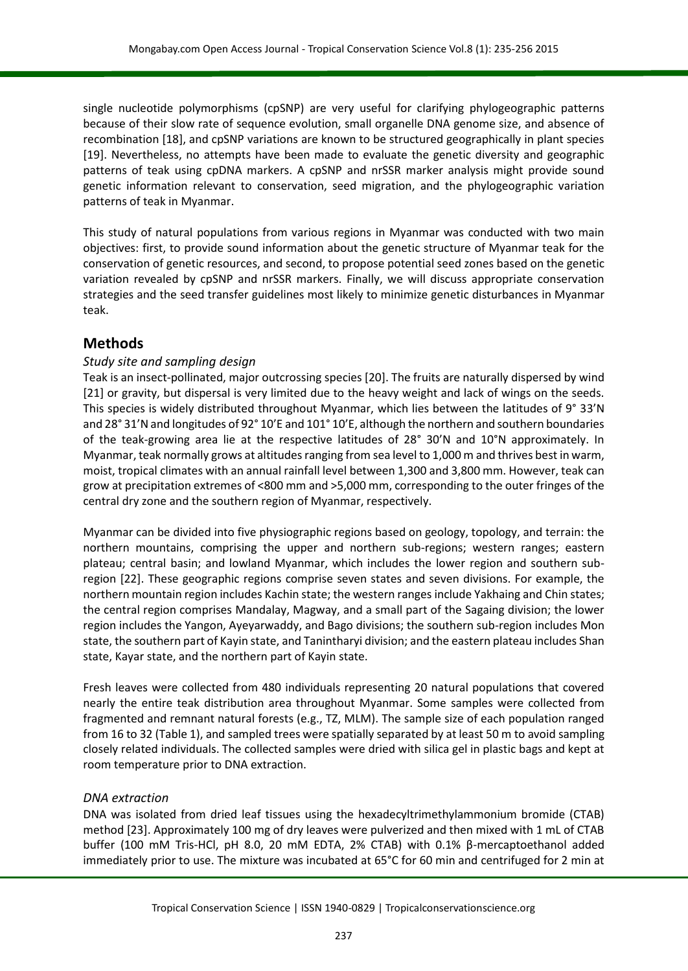single nucleotide polymorphisms (cpSNP) are very useful for clarifying phylogeographic patterns because of their slow rate of sequence evolution, small organelle DNA genome size, and absence of recombination [18], and cpSNP variations are known to be structured geographically in plant species [19]. Nevertheless, no attempts have been made to evaluate the genetic diversity and geographic patterns of teak using cpDNA markers. A cpSNP and nrSSR marker analysis might provide sound genetic information relevant to conservation, seed migration, and the phylogeographic variation patterns of teak in Myanmar.

This study of natural populations from various regions in Myanmar was conducted with two main objectives: first, to provide sound information about the genetic structure of Myanmar teak for the conservation of genetic resources, and second, to propose potential seed zones based on the genetic variation revealed by cpSNP and nrSSR markers. Finally, we will discuss appropriate conservation strategies and the seed transfer guidelines most likely to minimize genetic disturbances in Myanmar teak.

## **Methods**

### *Study site and sampling design*

Teak is an insect-pollinated, major outcrossing species [20]. The fruits are naturally dispersed by wind [21] or gravity, but dispersal is very limited due to the heavy weight and lack of wings on the seeds. This species is widely distributed throughout Myanmar, which lies between the latitudes of 9° 33'N and 28° 31'N and longitudes of 92° 10'E and 101° 10'E, although the northern and southern boundaries of the teak-growing area lie at the respective latitudes of 28° 30'N and 10°N approximately. In Myanmar, teak normally grows at altitudes ranging from sea level to 1,000 m and thrives best in warm, moist, tropical climates with an annual rainfall level between 1,300 and 3,800 mm. However, teak can grow at precipitation extremes of <800 mm and >5,000 mm, corresponding to the outer fringes of the central dry zone and the southern region of Myanmar, respectively.

Myanmar can be divided into five physiographic regions based on geology, topology, and terrain: the northern mountains, comprising the upper and northern sub-regions; western ranges; eastern plateau; central basin; and lowland Myanmar, which includes the lower region and southern subregion [22]. These geographic regions comprise seven states and seven divisions. For example, the northern mountain region includes Kachin state; the western ranges include Yakhaing and Chin states; the central region comprises Mandalay, Magway, and a small part of the Sagaing division; the lower region includes the Yangon, Ayeyarwaddy, and Bago divisions; the southern sub-region includes Mon state, the southern part of Kayin state, and Tanintharyi division; and the eastern plateau includes Shan state, Kayar state, and the northern part of Kayin state.

Fresh leaves were collected from 480 individuals representing 20 natural populations that covered nearly the entire teak distribution area throughout Myanmar. Some samples were collected from fragmented and remnant natural forests (e.g., TZ, MLM). The sample size of each population ranged from 16 to 32 (Table 1), and sampled trees were spatially separated by at least 50 m to avoid sampling closely related individuals. The collected samples were dried with silica gel in plastic bags and kept at room temperature prior to DNA extraction.

#### *DNA extraction*

DNA was isolated from dried leaf tissues using the hexadecyltrimethylammonium bromide (CTAB) method [23]. Approximately 100 mg of dry leaves were pulverized and then mixed with 1 mL of CTAB buffer (100 mM Tris-HCl, pH 8.0, 20 mM EDTA, 2% CTAB) with 0.1% β-mercaptoethanol added immediately prior to use. The mixture was incubated at 65°C for 60 min and centrifuged for 2 min at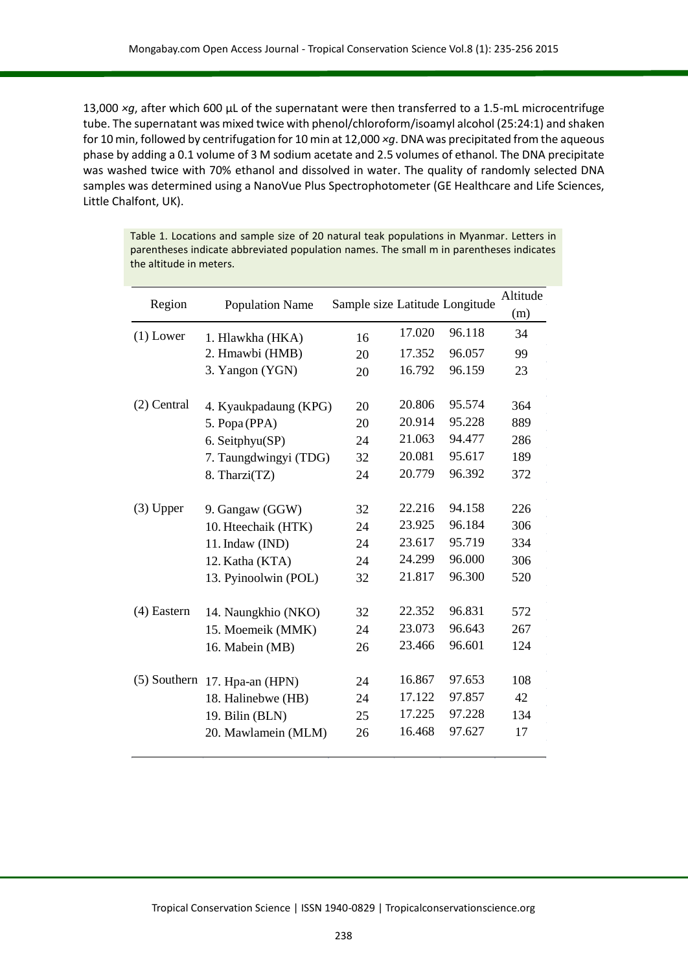13,000 *×g*, after which 600 µL of the supernatant were then transferred to a 1.5-mL microcentrifuge tube. The supernatant was mixed twice with phenol/chloroform/isoamyl alcohol (25:24:1) and shaken for 10 min, followed by centrifugation for 10 min at 12,000 *×g*. DNA was precipitated from the aqueous phase by adding a 0.1 volume of 3 M sodium acetate and 2.5 volumes of ethanol. The DNA precipitate was washed twice with 70% ethanol and dissolved in water. The quality of randomly selected DNA samples was determined using a NanoVue Plus Spectrophotometer (GE Healthcare and Life Sciences, Little Chalfont, UK).

| Region        | <b>Population Name</b>                 | Sample size Latitude Longitude |        |        | Altitude<br>(m) |
|---------------|----------------------------------------|--------------------------------|--------|--------|-----------------|
| $(1)$ Lower   | 1. Hlawkha (HKA)                       | 16                             | 17.020 | 96.118 | 34              |
|               | 2. Hmawbi (HMB)                        | 20                             | 17.352 | 96.057 | 99              |
|               | 3. Yangon (YGN)                        | 20                             | 16.792 | 96.159 | 23              |
| (2) Central   | 4. Kyaukpadaung (KPG)                  | 20                             | 20.806 | 95.574 | 364             |
|               | 5. Popa (PPA)                          | 20                             | 20.914 | 95.228 | 889             |
|               | 6. Seitphyu(SP)                        | 24                             | 21.063 | 94.477 | 286             |
|               | 7. Taungdwingyi (TDG)                  | 32                             | 20.081 | 95.617 | 189             |
|               | 8. Tharzi(TZ)                          | 24                             | 20.779 | 96.392 | 372             |
| $(3)$ Upper   | 9. Gangaw (GGW)                        | 32                             | 22.216 | 94.158 | 226             |
|               | 10. Hteechaik (HTK)                    | 24                             | 23.925 | 96.184 | 306             |
|               | 11. Indaw (IND)                        | 24                             | 23.617 | 95.719 | 334             |
|               | 12. Katha (KTA)                        | 24                             | 24.299 | 96.000 | 306             |
|               | 13. Pyinoolwin (POL)                   | 32                             | 21.817 | 96.300 | 520             |
| $(4)$ Eastern | 14. Naungkhio (NKO)                    | 32                             | 22.352 | 96.831 | 572             |
|               | 15. Moemeik (MMK)                      | 24                             | 23.073 | 96.643 | 267             |
|               | 16. Mabein (MB)                        | 26                             | 23.466 | 96.601 | 124             |
|               | (5) Southern 17. Hpa-an (HPN)          | 24                             | 16.867 | 97.653 | 108             |
|               |                                        | 24                             | 17.122 | 97.857 | 42              |
|               | 18. Halinebwe (HB)                     | 25                             | 17.225 | 97.228 | 134             |
|               | 19. Bilin (BLN)<br>20. Mawlamein (MLM) | 26                             | 16.468 | 97.627 | 17              |

Table 1. Locations and sample size of 20 natural teak populations in Myanmar. Letters in parentheses indicate abbreviated population names. The small m in parentheses indicates the altitude in meters.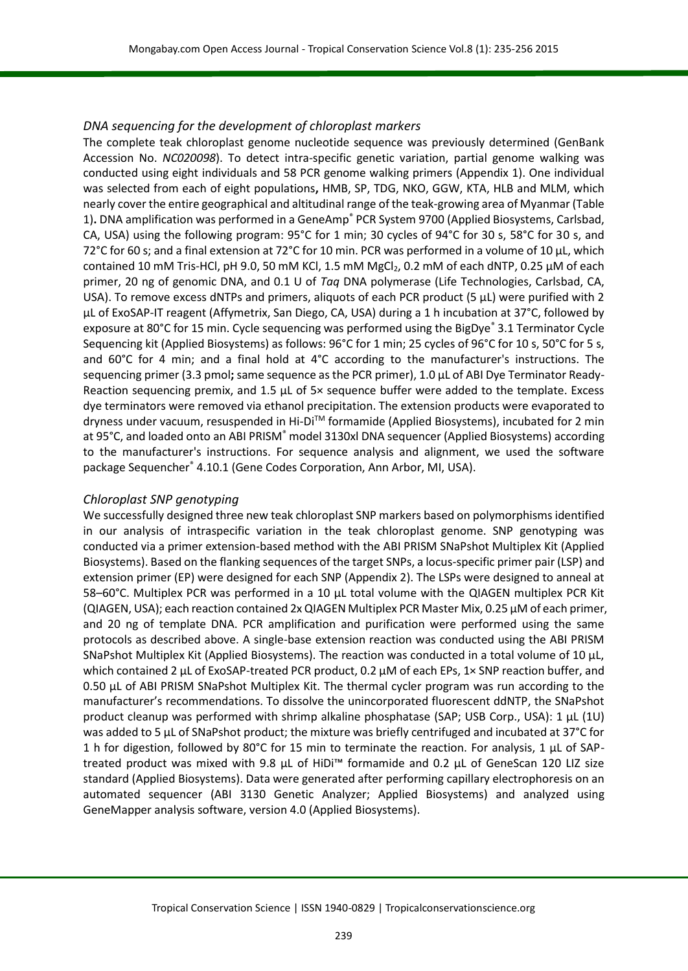### *DNA sequencing for the development of chloroplast markers*

The complete teak chloroplast genome nucleotide sequence was previously determined (GenBank Accession No. *NC020098*). To detect intra-specific genetic variation, partial genome walking was conducted using eight individuals and 58 PCR genome walking primers (Appendix 1). One individual was selected from each of eight populations**,** HMB, SP, TDG, NKO, GGW, KTA, HLB and MLM, which nearly cover the entire geographical and altitudinal range of the teak-growing area of Myanmar (Table 1)**.** DNA amplification was performed in a GeneAmp® PCR System 9700 (Applied Biosystems, Carlsbad, CA, USA) using the following program: 95°C for 1 min; 30 cycles of 94°C for 30 s, 58°C for 30 s, and 72°C for 60 s; and a final extension at 72°C for 10 min. PCR was performed in a volume of 10 µL, which contained 10 mM Tris-HCl, pH 9.0, 50 mM KCl, 1.5 mM MgCl<sub>2</sub>, 0.2 mM of each dNTP, 0.25  $\mu$ M of each primer, 20 ng of genomic DNA, and 0.1 U of *Taq* DNA polymerase (Life Technologies, Carlsbad, CA, USA). To remove excess dNTPs and primers, aliquots of each PCR product (5 μL) were purified with 2 μL of ExoSAP-IT reagent (Affymetrix, San Diego, CA, USA) during a 1 h incubation at 37°C, followed by exposure at 80°C for 15 min. Cycle sequencing was performed using the BigDye® 3.1 Terminator Cycle Sequencing kit (Applied Biosystems) as follows: 96°C for 1 min; 25 cycles of 96°C for 10 s, 50°C for 5 s, and 60°C for 4 min; and a final hold at 4°C according to the manufacturer's instructions. The sequencing primer (3.3 pmol**;** same sequence as the PCR primer), 1.0 µL of ABI Dye Terminator Ready-Reaction sequencing premix, and 1.5 µL of 5× sequence buffer were added to the template. Excess dye terminators were removed via ethanol precipitation. The extension products were evaporated to dryness under vacuum, resuspended in Hi-DiTM formamide (Applied Biosystems), incubated for 2 min at 95°C, and loaded onto an ABI PRISM® model 3130xl DNA sequencer (Applied Biosystems) according to the manufacturer's instructions. For sequence analysis and alignment, we used the software package Sequencher<sup>®</sup> 4.10.1 (Gene Codes Corporation, Ann Arbor, MI, USA).

### *Chloroplast SNP genotyping*

We successfully designed three new teak chloroplast SNP markers based on polymorphisms identified in our analysis of intraspecific variation in the teak chloroplast genome. SNP genotyping was conducted via a primer extension-based method with the ABI PRISM SNaPshot Multiplex Kit (Applied Biosystems). Based on the flanking sequences of the target SNPs, a locus-specific primer pair (LSP) and extension primer (EP) were designed for each SNP (Appendix 2). The LSPs were designed to anneal at 58–60°C. Multiplex PCR was performed in a 10 μL total volume with the QIAGEN multiplex PCR Kit (QIAGEN, USA); each reaction contained 2x QIAGEN Multiplex PCR Master Mix, 0.25 µM of each primer, and 20 ng of template DNA. PCR amplification and purification were performed using the same protocols as described above. A single-base extension reaction was conducted using the ABI PRISM SNaPshot Multiplex Kit (Applied Biosystems). The reaction was conducted in a total volume of 10 μL, which contained 2 μL of ExoSAP-treated PCR product, 0.2 μM of each EPs, 1× SNP reaction buffer, and 0.50 μL of ABI PRISM SNaPshot Multiplex Kit. The thermal cycler program was run according to the manufacturer's recommendations. To dissolve the unincorporated fluorescent ddNTP, the SNaPshot product cleanup was performed with shrimp alkaline phosphatase (SAP; USB Corp., USA): 1 μL (1U) was added to 5 μL of SNaPshot product; the mixture was briefly centrifuged and incubated at 37°C for 1 h for digestion, followed by 80°C for 15 min to terminate the reaction. For analysis, 1  $\mu$ L of SAPtreated product was mixed with 9.8 μL of HiDi™ formamide and 0.2 μL of GeneScan 120 LIZ size standard (Applied Biosystems). Data were generated after performing capillary electrophoresis on an automated sequencer (ABI 3130 Genetic Analyzer; Applied Biosystems) and analyzed using GeneMapper analysis software, version 4.0 (Applied Biosystems).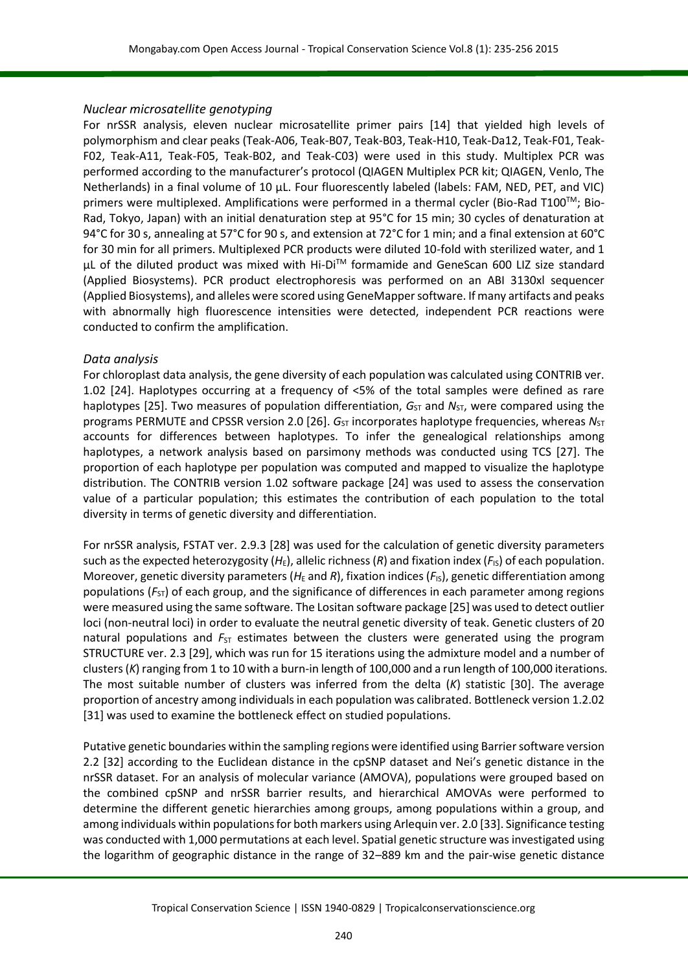#### *Nuclear microsatellite genotyping*

For nrSSR analysis, eleven nuclear microsatellite primer pairs [14] that yielded high levels of polymorphism and clear peaks (Teak-A06, Teak-B07, Teak-B03, Teak-H10, Teak-Da12, Teak-F01, Teak-F02, Teak-A11, Teak-F05, Teak-B02, and Teak-C03) were used in this study. Multiplex PCR was performed according to the manufacturer's protocol (QIAGEN Multiplex PCR kit; QIAGEN, Venlo, The Netherlands) in a final volume of 10 µL. Four fluorescently labeled (labels: FAM, NED, PET, and VIC) primers were multiplexed. Amplifications were performed in a thermal cycler (Bio-Rad T100 $\text{TM}$ ; Bio-Rad, Tokyo, Japan) with an initial denaturation step at 95°C for 15 min; 30 cycles of denaturation at 94°C for 30 s, annealing at 57°C for 90 s, and extension at 72°C for 1 min; and a final extension at 60°C for 30 min for all primers. Multiplexed PCR products were diluted 10-fold with sterilized water, and 1  $\mu$ L of the diluted product was mixed with Hi-Di<sup>TM</sup> formamide and GeneScan 600 LIZ size standard (Applied Biosystems). PCR product electrophoresis was performed on an ABI 3130xl sequencer (Applied Biosystems), and alleles were scored using GeneMapper software. If many artifacts and peaks with abnormally high fluorescence intensities were detected, independent PCR reactions were conducted to confirm the amplification.

#### *Data analysis*

For chloroplast data analysis, the gene diversity of each population was calculated using CONTRIB ver. 1.02 [24]. Haplotypes occurring at a frequency of <5% of the total samples were defined as rare haplotypes [25]. Two measures of population differentiation, G<sub>ST</sub> and  $N_{ST}$ , were compared using the programs PERMUTE and CPSSR version 2.0 [26].  $G_{ST}$  incorporates haplotype frequencies, whereas  $N_{ST}$ accounts for differences between haplotypes. To infer the genealogical relationships among haplotypes, a network analysis based on parsimony methods was conducted using TCS [27]. The proportion of each haplotype per population was computed and mapped to visualize the haplotype distribution. The CONTRIB version 1.02 software package [24] was used to assess the conservation value of a particular population; this estimates the contribution of each population to the total diversity in terms of genetic diversity and differentiation.

For nrSSR analysis, FSTAT ver. 2.9.3 [28] was used for the calculation of genetic diversity parameters such as the expected heterozygosity ( $H_{E}$ ), allelic richness (R) and fixation index ( $F_{IS}$ ) of each population. Moreover, genetic diversity parameters ( $H<sub>E</sub>$  and *R*), fixation indices ( $F<sub>IS</sub>$ ), genetic differentiation among populations ( $F_{ST}$ ) of each group, and the significance of differences in each parameter among regions were measured using the same software. The Lositan software package [25] was used to detect outlier loci (non-neutral loci) in order to evaluate the neutral genetic diversity of teak. Genetic clusters of 20 natural populations and  $F_{ST}$  estimates between the clusters were generated using the program STRUCTURE ver. 2.3 [29], which was run for 15 iterations using the admixture model and a number of clusters (*K*) ranging from 1 to 10 with a burn-in length of 100,000 and a run length of 100,000 iterations. The most suitable number of clusters was inferred from the delta (*K*) statistic [30]. The average proportion of ancestry among individuals in each population was calibrated. Bottleneck version 1.2.02 [31] was used to examine the bottleneck effect on studied populations.

Putative genetic boundaries within the sampling regions were identified using Barrier software version 2.2 [32] according to the Euclidean distance in the cpSNP dataset and Nei's genetic distance in the nrSSR dataset. For an analysis of molecular variance (AMOVA), populations were grouped based on the combined cpSNP and nrSSR barrier results, and hierarchical AMOVAs were performed to determine the different genetic hierarchies among groups, among populations within a group, and among individuals within populations for both markers using Arlequin ver. 2.0 [33]. Significance testing was conducted with 1,000 permutations at each level. Spatial genetic structure was investigated using the logarithm of geographic distance in the range of 32–889 km and the pair-wise genetic distance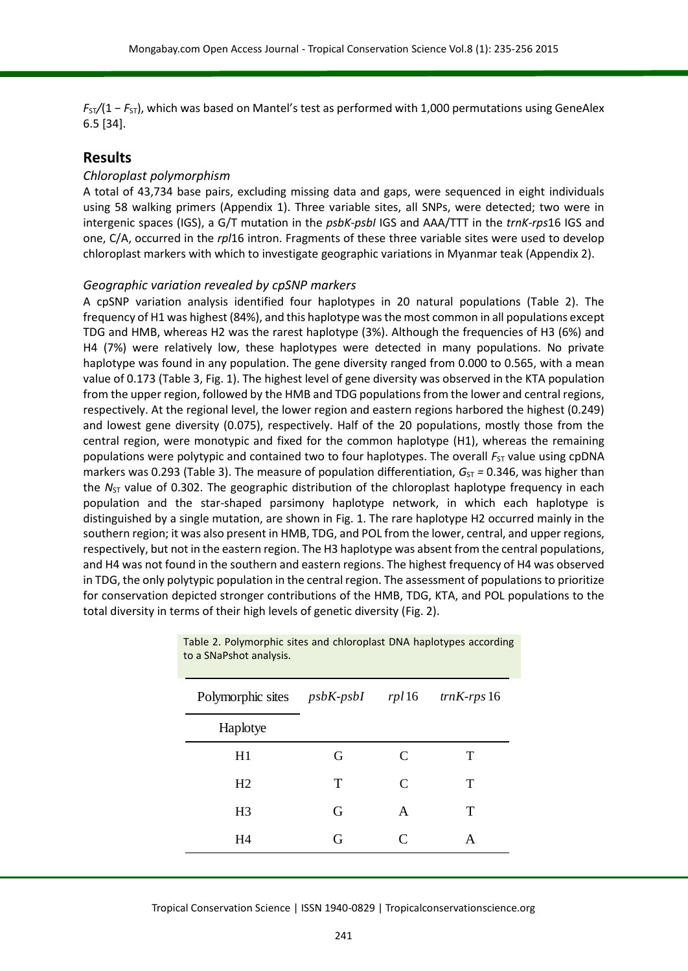*F*<sub>ST</sub>/(1 − *F*<sub>ST</sub>), which was based on Mantel's test as performed with 1,000 permutations using GeneAlex 6.5 [34].

### **Results**

#### *Chloroplast polymorphism*

A total of 43,734 base pairs, excluding missing data and gaps, were sequenced in eight individuals using 58 walking primers (Appendix 1). Three variable sites, all SNPs, were detected; two were in intergenic spaces (IGS), a G/T mutation in the *psbK-psbI* IGS and AAA/TTT in the *trnK-rps*16 IGS and one, C/A, occurred in the *rpl*16 intron. Fragments of these three variable sites were used to develop chloroplast markers with which to investigate geographic variations in Myanmar teak (Appendix 2).

#### *Geographic variation revealed by cpSNP markers*

A cpSNP variation analysis identified four haplotypes in 20 natural populations (Table 2). The frequency of H1 was highest (84%), and this haplotype was the most common in all populations except TDG and HMB, whereas H2 was the rarest haplotype (3%). Although the frequencies of H3 (6%) and H4 (7%) were relatively low, these haplotypes were detected in many populations. No private haplotype was found in any population. The gene diversity ranged from 0.000 to 0.565, with a mean value of 0.173 (Table 3, Fig. 1). The highest level of gene diversity was observed in the KTA population from the upper region, followed by the HMB and TDG populations from the lower and central regions, respectively. At the regional level, the lower region and eastern regions harbored the highest (0.249) and lowest gene diversity (0.075), respectively. Half of the 20 populations, mostly those from the central region, were monotypic and fixed for the common haplotype (H1), whereas the remaining populations were polytypic and contained two to four haplotypes. The overall  $F_{ST}$  value using cpDNA markers was 0.293 (Table 3). The measure of population differentiation,  $G_{ST}$  = 0.346, was higher than the *N<sub>ST</sub>* value of 0.302. The geographic distribution of the chloroplast haplotype frequency in each population and the star-shaped parsimony haplotype network, in which each haplotype is distinguished by a single mutation, are shown in Fig. 1. The rare haplotype H2 occurred mainly in the southern region; it was also present in HMB, TDG, and POL from the lower, central, and upper regions, respectively, but not in the eastern region. The H3 haplotype was absent from the central populations, and H4 was not found in the southern and eastern regions. The highest frequency of H4 was observed in TDG, the only polytypic population in the central region. The assessment of populations to prioritize for conservation depicted stronger contributions of the HMB, TDG, KTA, and POL populations to the total diversity in terms of their high levels of genetic diversity (Fig. 2).

| Polymorphic sites psbK-psbI rpl 16 trnK-rps 16 |   |                             |   |
|------------------------------------------------|---|-----------------------------|---|
| Haplotye                                       |   |                             |   |
| H1                                             | G | $\mathcal{C}_{\mathcal{C}}$ | T |
| H <sub>2</sub>                                 | T | $\mathcal{C}$               | т |
| H <sub>3</sub>                                 | G | A                           | Т |
| H4                                             | G | C                           | А |
|                                                |   |                             |   |

Table 2. Polymorphic sites and chloroplast DNA haplotypes according to a SNaPshot analysis.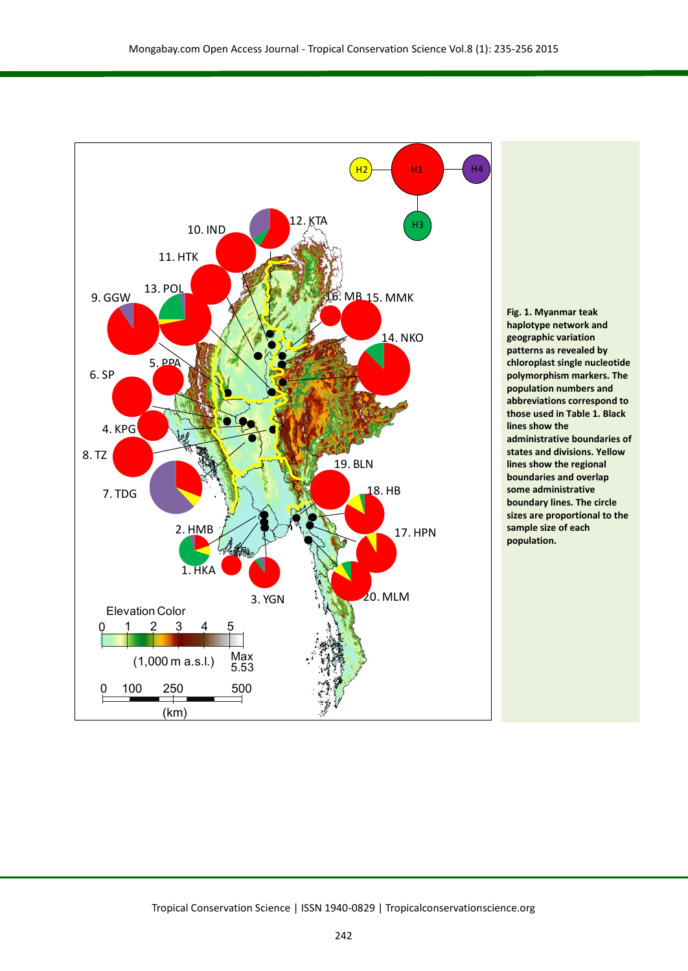

**chloroplast single nucleotide polymorphism markers. The population numbers and abbreviations correspond to those used in Table 1. Black lines show the administrative boundaries of states and divisions. Yellow lines show the regional boundaries and overlap some administrative boundary lines. The circle sizes are proportional to the sample size of each population.**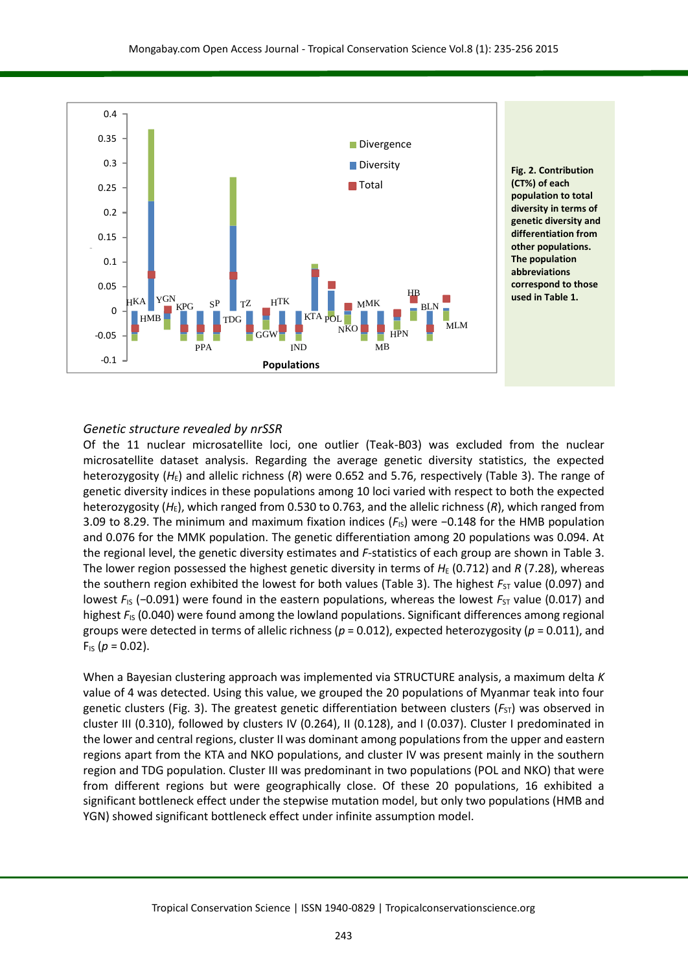

**Fig. 2. Contribution (CT%) of each population to total diversity in terms of genetic diversity and differentiation from other populations. The population abbreviations correspond to those used in Table 1.**

#### *Genetic structure revealed by nrSSR*

Of the 11 nuclear microsatellite loci, one outlier (Teak-B03) was excluded from the nuclear microsatellite dataset analysis. Regarding the average genetic diversity statistics, the expected heterozygosity ( $H<sub>E</sub>$ ) and allelic richness (R) were 0.652 and 5.76, respectively (Table 3). The range of genetic diversity indices in these populations among 10 loci varied with respect to both the expected heterozygosity (*H*E), which ranged from 0.530 to 0.763, and the allelic richness (*R*), which ranged from 3.09 to 8.29. The minimum and maximum fixation indices ( $F$ <sub>IS</sub>) were −0.148 for the HMB population and 0.076 for the MMK population. The genetic differentiation among 20 populations was 0.094. At the regional level, the genetic diversity estimates and *F*-statistics of each group are shown in Table 3. The lower region possessed the highest genetic diversity in terms of  $H<sub>E</sub>$  (0.712) and *R* (7.28), whereas the southern region exhibited the lowest for both values (Table 3). The highest  $F_{ST}$  value (0.097) and lowest *F*<sub>IS</sub> (−0.091) were found in the eastern populations, whereas the lowest *F*<sub>ST</sub> value (0.017) and highest *F*<sub>IS</sub> (0.040) were found among the lowland populations. Significant differences among regional groups were detected in terms of allelic richness (*p* = 0.012), expected heterozygosity (*p* = 0.011), and  $F_{1S}$  ( $p = 0.02$ ).

When a Bayesian clustering approach was implemented via STRUCTURE analysis, a maximum delta *K* value of 4 was detected. Using this value, we grouped the 20 populations of Myanmar teak into four genetic clusters (Fig. 3). The greatest genetic differentiation between clusters (F<sub>ST</sub>) was observed in cluster III (0.310), followed by clusters IV (0.264), II (0.128), and I (0.037). Cluster I predominated in the lower and central regions, cluster II was dominant among populations from the upper and eastern regions apart from the KTA and NKO populations, and cluster IV was present mainly in the southern region and TDG population. Cluster III was predominant in two populations (POL and NKO) that were from different regions but were geographically close. Of these 20 populations, 16 exhibited a significant bottleneck effect under the stepwise mutation model, but only two populations (HMB and YGN) showed significant bottleneck effect under infinite assumption model.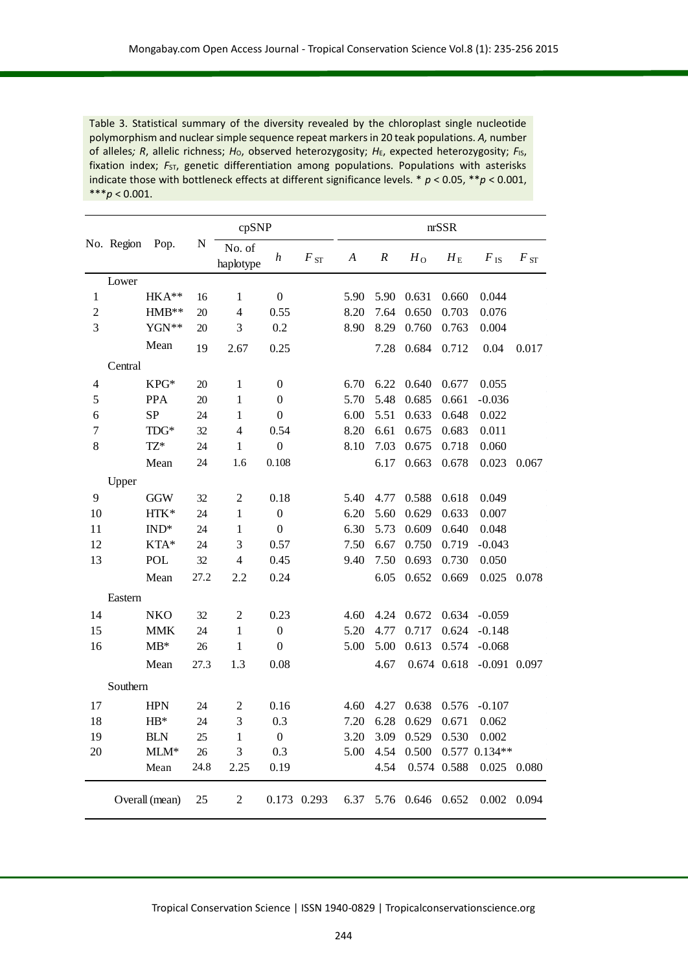Table 3. Statistical summary of the diversity revealed by the chloroplast single nucleotide polymorphism and nuclear simple sequence repeat markers in 20 teak populations. *A,* number of alleles; R, allelic richness; H<sub>O</sub>, observed heterozygosity; H<sub>E</sub>, expected heterozygosity; F<sub>IS</sub>, fixation index; *F<sub>ST</sub>*, genetic differentiation among populations. Populations with asterisks indicate those with bottleneck effects at different significance levels. \* *p* < 0.05, \*\**p* < 0.001,  $***p < 0.001$ .

| cpSNP<br>nrSSR |            |                |      |                          |                  |                |                  |                  |                 |             |                   |                |
|----------------|------------|----------------|------|--------------------------|------------------|----------------|------------------|------------------|-----------------|-------------|-------------------|----------------|
|                | No. Region | Pop.           | N    | No. of<br>haplotype      | $\boldsymbol{h}$ | $F_{\rm \,ST}$ | $\boldsymbol{A}$ | $\boldsymbol{R}$ | $H_0$           | $H_{\rm E}$ | $F_{\,\rm IS}$    | $F_{\rm \,ST}$ |
|                | Lower      |                |      |                          |                  |                |                  |                  |                 |             |                   |                |
| 1              |            | HKA**          | 16   | $\mathbf{1}$             | $\boldsymbol{0}$ |                | 5.90             | 5.90             | 0.631           | 0.660       | 0.044             |                |
| $\overline{c}$ |            | HMB**          | 20   | $\overline{4}$           | 0.55             |                | 8.20             | 7.64             | 0.650           | 0.703       | 0.076             |                |
| $\overline{3}$ |            | YGN**          | 20   | 3                        | 0.2              |                | 8.90             | 8.29             | 0.760           | 0.763       | 0.004             |                |
|                |            | Mean           | 19   | 2.67                     | 0.25             |                |                  | 7.28             | 0.684           | 0.712       | 0.04              | 0.017          |
|                | Central    |                |      |                          |                  |                |                  |                  |                 |             |                   |                |
| 4              |            | KPG*           | 20   | $\mathbf{1}$             | $\boldsymbol{0}$ |                | 6.70             | 6.22             | 0.640           | 0.677       | 0.055             |                |
| 5              |            | <b>PPA</b>     | 20   | $\mathbf{1}$             | $\overline{0}$   |                | 5.70             | 5.48             | 0.685           | 0.661       | $-0.036$          |                |
| 6              |            | <b>SP</b>      | 24   | $\,1$                    | $\boldsymbol{0}$ |                | 6.00             | 5.51             | 0.633           | 0.648       | 0.022             |                |
| 7              |            | $TDG*$         | 32   | $\overline{4}$           | 0.54             |                | 8.20             | 6.61             | 0.675           | 0.683       | 0.011             |                |
| 8              |            | TZ*            | 24   | 1                        | $\boldsymbol{0}$ |                | 8.10             | 7.03             | 0.675           | 0.718       | 0.060             |                |
|                |            | Mean           | 24   | 1.6                      | 0.108            |                |                  | 6.17             | 0.663           | 0.678       | 0.023             | 0.067          |
|                | Upper      |                |      |                          |                  |                |                  |                  |                 |             |                   |                |
| 9              |            | <b>GGW</b>     | 32   | $\overline{c}$           | 0.18             |                | 5.40             | 4.77             | 0.588           | 0.618       | 0.049             |                |
| 10             |            | HTK*           | 24   | $\mathbf{1}$             | $\boldsymbol{0}$ |                | 6.20             | 5.60             | 0.629           | 0.633       | 0.007             |                |
| 11             |            | $\text{IND}^*$ | 24   | $\mathbf{1}$             | $\boldsymbol{0}$ |                | 6.30             | 5.73             | 0.609           | 0.640       | 0.048             |                |
| 12             |            | KTA*           | 24   | 3                        | 0.57             |                | 7.50             | 6.67             | 0.750           | 0.719       | $-0.043$          |                |
| 13             |            | POL            | 32   | $\overline{\mathcal{A}}$ | 0.45             |                | 9.40             | 7.50             | 0.693           | 0.730       | 0.050             |                |
|                |            | Mean           | 27.2 | 2.2                      | 0.24             |                |                  | 6.05             | 0.652           | 0.669       | 0.025             | 0.078          |
|                | Eastern    |                |      |                          |                  |                |                  |                  |                 |             |                   |                |
| 14             |            | <b>NKO</b>     | 32   | $\mathfrak{2}$           | 0.23             |                | 4.60             | 4.24             | 0.672           | 0.634       | $-0.059$          |                |
| 15             |            | <b>MMK</b>     | 24   | $\mathbf{1}$             | $\boldsymbol{0}$ |                | 5.20             | 4.77             | 0.717           | 0.624       | $-0.148$          |                |
| 16             |            | $MB^*$         | 26   | 1                        | $\boldsymbol{0}$ |                | 5.00             | 5.00             | 0.613           | 0.574       | $-0.068$          |                |
|                |            | Mean           | 27.3 | 1.3                      | 0.08             |                |                  | 4.67             |                 | 0.674 0.618 | $-0.091$ 0.097    |                |
|                | Southern   |                |      |                          |                  |                |                  |                  |                 |             |                   |                |
| 17             |            | <b>HPN</b>     | 24   | $\overline{c}$           | 0.16             |                | 4.60             | 4.27             | 0.638           | 0.576       | $-0.107$          |                |
| 18             |            | $HB*$          | 24   | 3                        | 0.3              |                | 7.20             | 6.28             | 0.629           | 0.671       | 0.062             |                |
| 19             |            | <b>BLN</b>     | 25   | $\mathbf{1}$             | $\boldsymbol{0}$ |                | 3.20             |                  | 3.09 0.529      | 0.530       | 0.002             |                |
| 20             |            | $MLM*$         | 26   | 3                        | 0.3              |                | 5.00             | 4.54             | 0.500           |             | $0.577$ $0.134**$ |                |
|                |            | Mean           | 24.8 | 2.25                     | 0.19             |                |                  | 4.54             |                 | 0.574 0.588 | 0.025             | 0.080          |
|                |            | Overall (mean) | 25   | $\overline{c}$           |                  | 0.173 0.293    |                  |                  | 6.37 5.76 0.646 | 0.652       | 0.002             | 0.094          |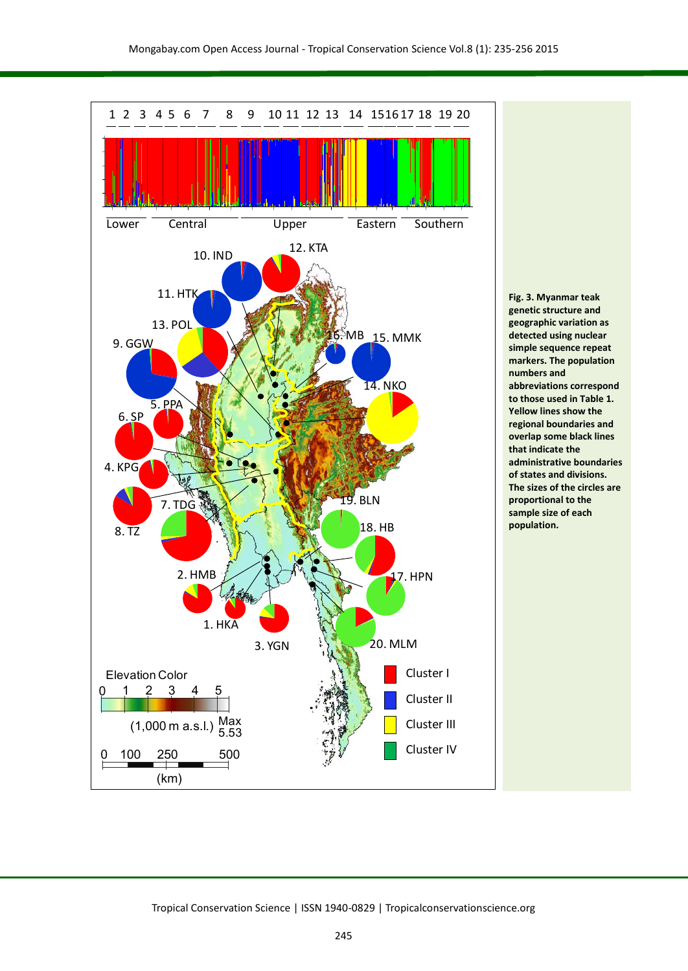

**Fig. 3. Myanmar teak genetic structure and geographic variation as detected using nuclear simple sequence repeat markers. The population numbers and abbreviations correspond to those used in Table 1. Yellow lines show the regional boundaries and overlap some black lines that indicate the administrative boundaries of states and divisions. The sizes of the circles are proportional to the sample size of each population.**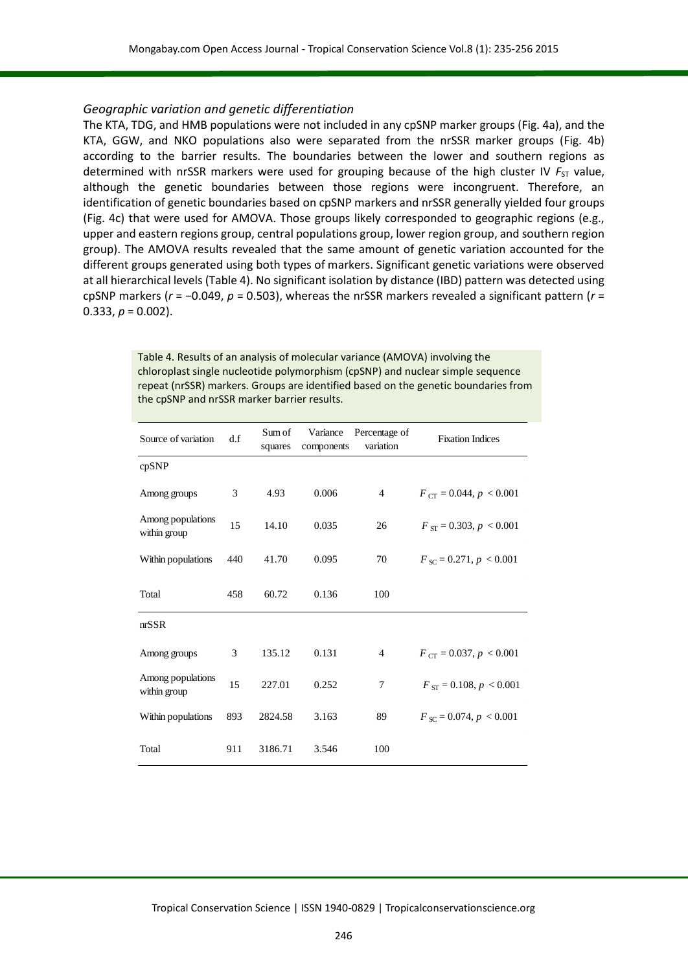#### *Geographic variation and genetic differentiation*

The KTA, TDG, and HMB populations were not included in any cpSNP marker groups (Fig. 4a), and the KTA, GGW, and NKO populations also were separated from the nrSSR marker groups (Fig. 4b) according to the barrier results. The boundaries between the lower and southern regions as determined with nrSSR markers were used for grouping because of the high cluster IV F<sub>ST</sub> value, although the genetic boundaries between those regions were incongruent. Therefore, an identification of genetic boundaries based on cpSNP markers and nrSSR generally yielded four groups (Fig. 4c) that were used for AMOVA. Those groups likely corresponded to geographic regions (e.g., upper and eastern regions group, central populations group, lower region group, and southern region group). The AMOVA results revealed that the same amount of genetic variation accounted for the different groups generated using both types of markers. Significant genetic variations were observed at all hierarchical levels (Table 4). No significant isolation by distance (IBD) pattern was detected using cpSNP markers (*r* = −0.049, *p* = 0.503), whereas the nrSSR markers revealed a significant pattern (*r* = 0.333,  $p = 0.002$ ).

> Table 4. Results of an analysis of molecular variance (AMOVA) involving the chloroplast single nucleotide polymorphism (cpSNP) and nuclear simple sequence repeat (nrSSR) markers. Groups are identified based on the genetic boundaries from the cpSNP and nrSSR marker barrier results.

| Source of variation               | df  | Sum of<br>squares | Variance<br>components | Percentage of<br>variation | <b>Fixation Indices</b>               |
|-----------------------------------|-----|-------------------|------------------------|----------------------------|---------------------------------------|
| cpSNP                             |     |                   |                        |                            |                                       |
| Among groups                      | 3   | 4.93              | 0.006                  | $\overline{4}$             | $F_{\text{CT}} = 0.044, p < 0.001$    |
| Among populations<br>within group | 15  | 14.10             | 0.035                  | 26                         | $F_{ST} = 0.303, p < 0.001$           |
| Within populations                | 440 | 41.70             | 0.095                  | 70                         | $F_{\text{SC}} = 0.271, p < 0.001$    |
| Total                             | 458 | 60.72             | 0.136                  | 100                        |                                       |
| mSSR                              |     |                   |                        |                            |                                       |
| Among groups                      | 3   | 135.12            | 0.131                  | $\overline{4}$             | $F_{\text{CT}} = 0.037, p < 0.001$    |
| Among populations<br>within group | 15  | 227.01            | 0.252                  | 7                          | $F_{ST} = 0.108, p < 0.001$           |
| Within populations                | 893 | 2824.58           | 3.163                  | 89                         | $F_{\text{SC}} = 0.074$ , $p < 0.001$ |
| Total                             | 911 | 3186.71           | 3.546                  | 100                        |                                       |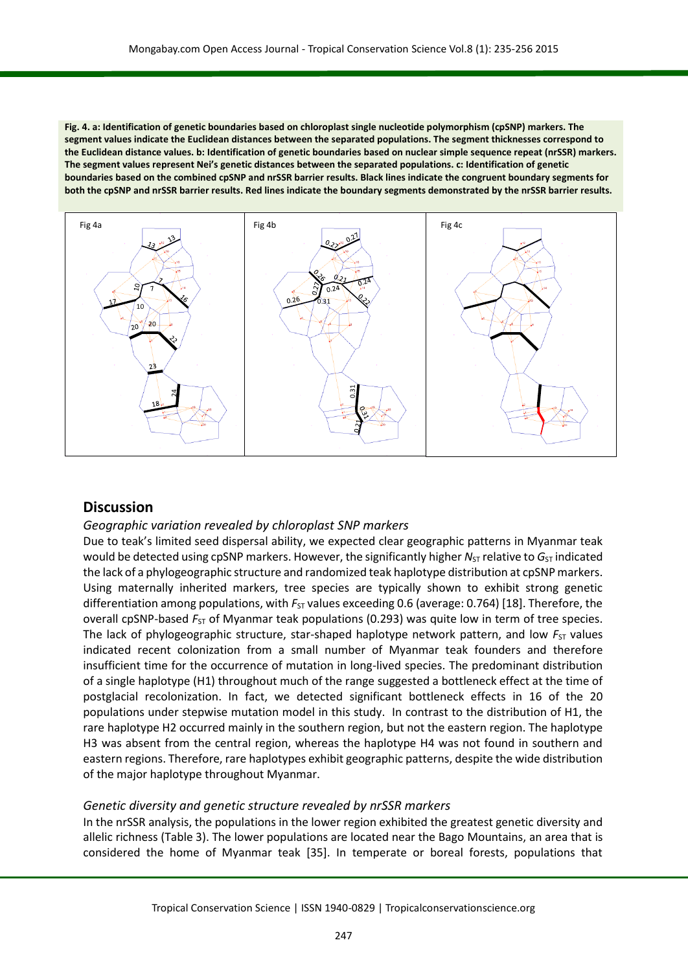**Fig. 4. a: Identification of genetic boundaries based on chloroplast single nucleotide polymorphism (cpSNP) markers. The segment values indicate the Euclidean distances between the separated populations. The segment thicknesses correspond to the Euclidean distance values. b: Identification of genetic boundaries based on nuclear simple sequence repeat (nrSSR) markers. The segment values represent Nei's genetic distances between the separated populations. c: Identification of genetic boundaries based on the combined cpSNP and nrSSR barrier results. Black lines indicate the congruent boundary segments for both the cpSNP and nrSSR barrier results. Red lines indicate the boundary segments demonstrated by the nrSSR barrier results.**



### **Discussion**

#### *Geographic variation revealed by chloroplast SNP markers*

Due to teak's limited seed dispersal ability, we expected clear geographic patterns in Myanmar teak would be detected using cpSNP markers. However, the significantly higher  $N_{ST}$  relative to  $G_{ST}$  indicated the lack of a phylogeographic structure and randomized teak haplotype distribution at cpSNP markers. Using maternally inherited markers, tree species are typically shown to exhibit strong genetic differentiation among populations, with  $F_{ST}$  values exceeding 0.6 (average: 0.764) [18]. Therefore, the overall cpSNP-based  $F_{ST}$  of Myanmar teak populations (0.293) was quite low in term of tree species. The lack of phylogeographic structure, star-shaped haplotype network pattern, and low *FST* values indicated recent colonization from a small number of Myanmar teak founders and therefore insufficient time for the occurrence of mutation in long-lived species. The predominant distribution of a single haplotype (H1) throughout much of the range suggested a bottleneck effect at the time of postglacial recolonization. In fact, we detected significant bottleneck effects in 16 of the 20 populations under stepwise mutation model in this study. In contrast to the distribution of H1, the rare haplotype H2 occurred mainly in the southern region, but not the eastern region. The haplotype H3 was absent from the central region, whereas the haplotype H4 was not found in southern and eastern regions. Therefore, rare haplotypes exhibit geographic patterns, despite the wide distribution of the major haplotype throughout Myanmar.

#### *Genetic diversity and genetic structure revealed by nrSSR markers*

In the nrSSR analysis, the populations in the lower region exhibited the greatest genetic diversity and allelic richness (Table 3). The lower populations are located near the Bago Mountains, an area that is considered the home of Myanmar teak [35]. In temperate or boreal forests, populations that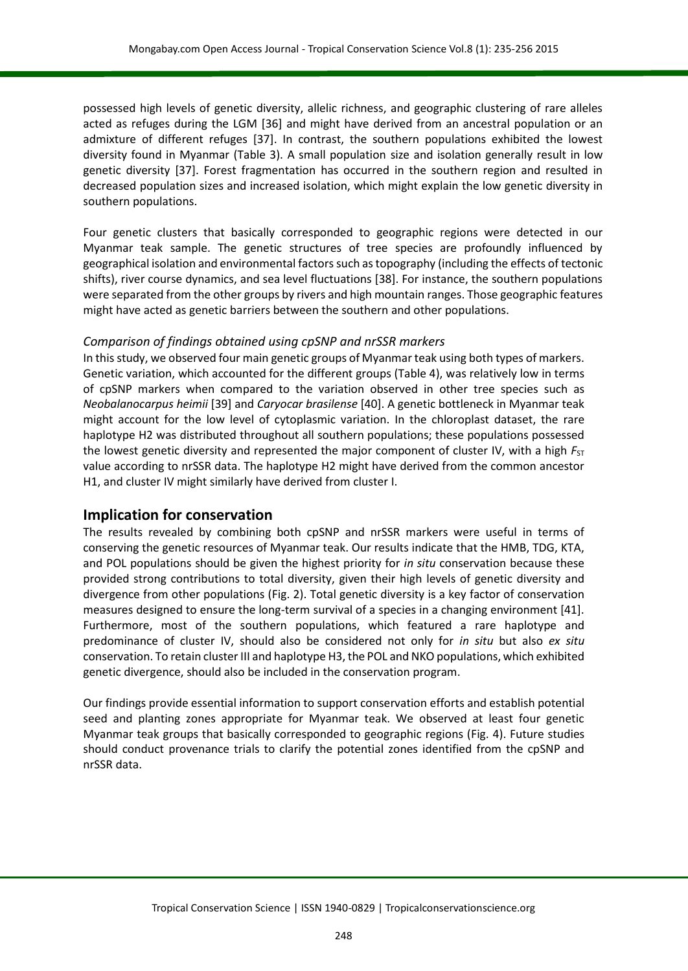possessed high levels of genetic diversity, allelic richness, and geographic clustering of rare alleles acted as refuges during the LGM [36] and might have derived from an ancestral population or an admixture of different refuges [37]. In contrast, the southern populations exhibited the lowest diversity found in Myanmar (Table 3). A small population size and isolation generally result in low genetic diversity [37]. Forest fragmentation has occurred in the southern region and resulted in decreased population sizes and increased isolation, which might explain the low genetic diversity in southern populations.

Four genetic clusters that basically corresponded to geographic regions were detected in our Myanmar teak sample. The genetic structures of tree species are profoundly influenced by geographical isolation and environmental factors such as topography (including the effects of tectonic shifts), river course dynamics, and sea level fluctuations [38]. For instance, the southern populations were separated from the other groups by rivers and high mountain ranges. Those geographic features might have acted as genetic barriers between the southern and other populations.

### *Comparison of findings obtained using cpSNP and nrSSR markers*

In this study, we observed four main genetic groups of Myanmar teak using both types of markers. Genetic variation, which accounted for the different groups (Table 4), was relatively low in terms of cpSNP markers when compared to the variation observed in other tree species such as *Neobalanocarpus heimii* [39] and *Caryocar brasilense* [40]. A genetic bottleneck in Myanmar teak might account for the low level of cytoplasmic variation. In the chloroplast dataset, the rare haplotype H2 was distributed throughout all southern populations; these populations possessed the lowest genetic diversity and represented the major component of cluster IV, with a high  $F_{ST}$ value according to nrSSR data. The haplotype H2 might have derived from the common ancestor H1, and cluster IV might similarly have derived from cluster I.

### **Implication for conservation**

The results revealed by combining both cpSNP and nrSSR markers were useful in terms of conserving the genetic resources of Myanmar teak. Our results indicate that the HMB, TDG, KTA, and POL populations should be given the highest priority for *in situ* conservation because these provided strong contributions to total diversity, given their high levels of genetic diversity and divergence from other populations (Fig. 2). Total genetic diversity is a key factor of conservation measures designed to ensure the long-term survival of a species in a changing environment [41]. Furthermore, most of the southern populations, which featured a rare haplotype and predominance of cluster IV, should also be considered not only for *in situ* but also *ex situ*  conservation. To retain cluster III and haplotype H3, the POL and NKO populations, which exhibited genetic divergence, should also be included in the conservation program.

Our findings provide essential information to support conservation efforts and establish potential seed and planting zones appropriate for Myanmar teak. We observed at least four genetic Myanmar teak groups that basically corresponded to geographic regions (Fig. 4). Future studies should conduct provenance trials to clarify the potential zones identified from the cpSNP and nrSSR data.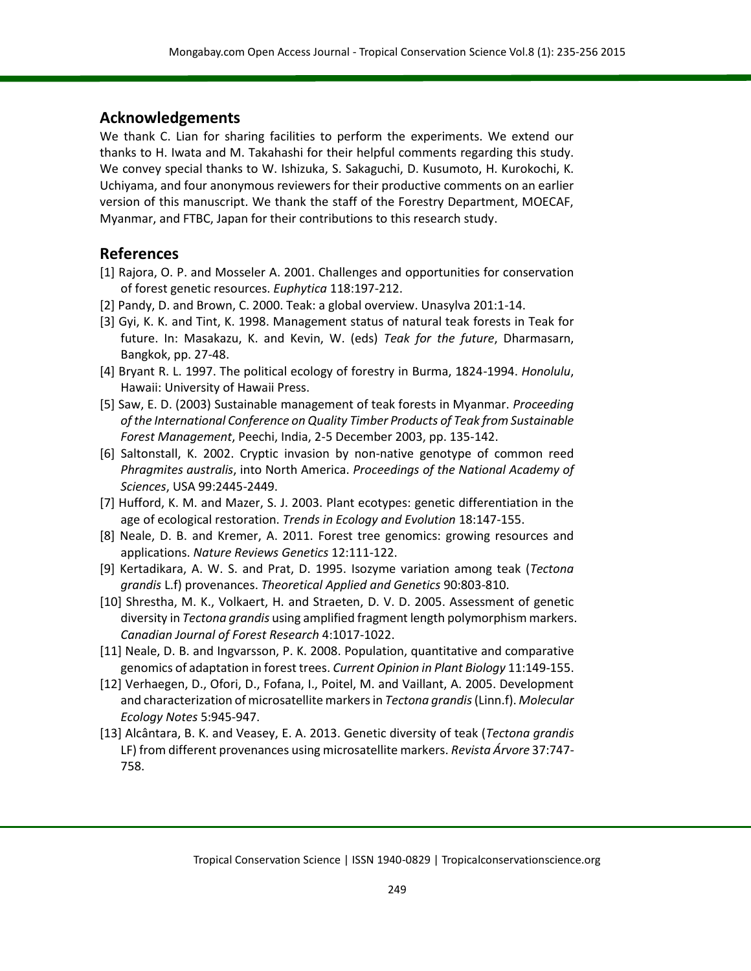### **Acknowledgements**

We thank C. Lian for sharing facilities to perform the experiments. We extend our thanks to H. Iwata and M. Takahashi for their helpful comments regarding this study. We convey special thanks to W. Ishizuka, S. Sakaguchi, D. Kusumoto, H. Kurokochi, K. Uchiyama, and four anonymous reviewers for their productive comments on an earlier version of this manuscript. We thank the staff of the Forestry Department, MOECAF, Myanmar, and FTBC, Japan for their contributions to this research study.

### **References**

- [1] Rajora, O. P. and Mosseler A. 2001. Challenges and opportunities for conservation of forest genetic resources. *Euphytica* 118:197-212.
- [2] Pandy, D. and Brown, C. 2000. Teak: a global overview. Unasylva 201:1-14.
- [3] Gyi, K. K. and Tint, K. 1998. Management status of natural teak forests in Teak for future. In: Masakazu, K. and Kevin, W. (eds) *Teak for the future*, Dharmasarn, Bangkok, pp. 27-48.
- [4] Bryant R. L. 1997. The political ecology of forestry in Burma, 1824-1994. *Honolulu*, Hawaii: University of Hawaii Press.
- [5] Saw, E. D. (2003) Sustainable management of teak forests in Myanmar. *Proceeding of the International Conference on Quality Timber Products of Teak from Sustainable Forest Management*, Peechi, India, 2-5 December 2003, pp. 135-142.
- [6] Saltonstall, K. 2002. Cryptic invasion by non-native genotype of common reed *Phragmites australis*, into North America. *Proceedings of the National Academy of Sciences*, USA 99:2445-2449.
- [7] Hufford, K. M. and Mazer, S. J. 2003. Plant ecotypes: genetic differentiation in the age of ecological restoration. *Trends in Ecology and Evolution* 18:147-155.
- [8] Neale, D. B. and Kremer, A. 2011. Forest tree genomics: growing resources and applications. *Nature Reviews Genetics* 12:111-122.
- [9] Kertadikara, A. W. S. and Prat, D. 1995. Isozyme variation among teak (*Tectona grandis* L.f) provenances. *Theoretical Applied and Genetics* 90:803-810.
- [10] Shrestha, M. K., Volkaert, H. and Straeten, D. V. D. 2005. Assessment of genetic diversity in *Tectona grandis* using amplified fragment length polymorphism markers. *Canadian Journal of Forest Research* 4:1017-1022.
- [11] Neale, D. B. and Ingvarsson, P. K. 2008. Population, quantitative and comparative genomics of adaptation in forest trees. *Current Opinion in Plant Biology* 11:149-155.
- [12] Verhaegen, D., Ofori, D., Fofana, I., Poitel, M. and Vaillant, A. 2005. Development and characterization of microsatellite markers in *Tectona grandis*(Linn.f). *Molecular Ecology Notes* 5:945-947.
- [13] Alcântara, B. K. and Veasey, E. A. 2013. Genetic diversity of teak (*Tectona grandis* LF) from different provenances using microsatellite markers. *Revista Árvore* 37:747- 758.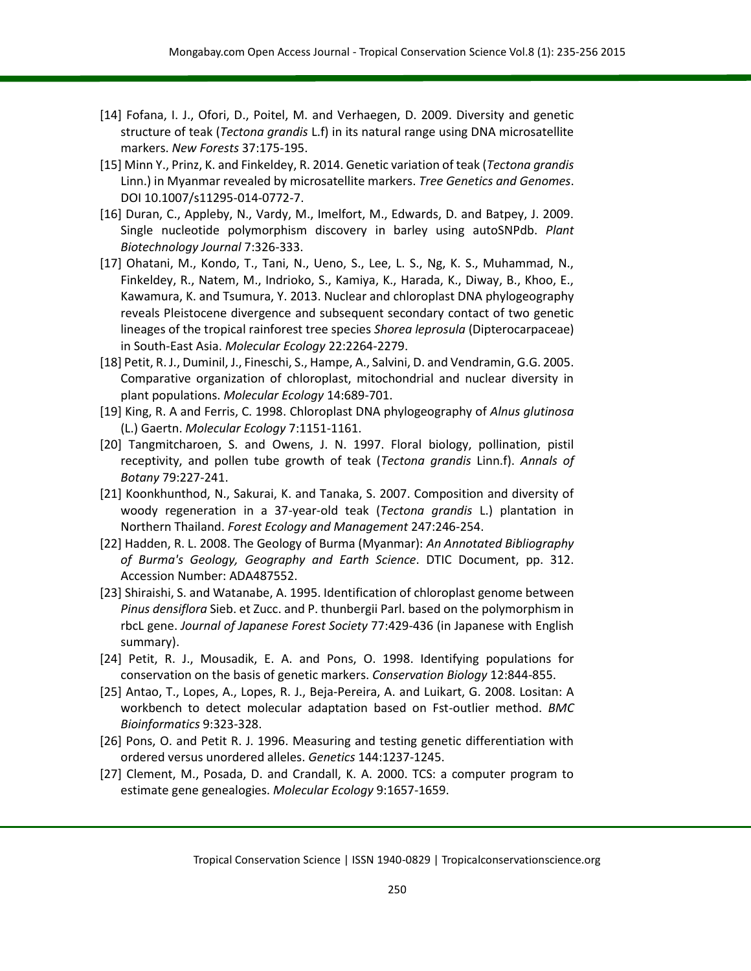- [14] Fofana, I. J., Ofori, D., Poitel, M. and Verhaegen, D. 2009. Diversity and genetic structure of teak (*Tectona grandis* L.f) in its natural range using DNA microsatellite markers. *New Forests* 37:175-195.
- [15] Minn Y., Prinz, K. and Finkeldey, R. 2014. Genetic variation of teak (*Tectona grandis* Linn.) in Myanmar revealed by microsatellite markers. *Tree Genetics and Genomes*. DOI 10.1007/s11295-014-0772-7.
- [16] Duran, C., Appleby, N., Vardy, M., Imelfort, M., Edwards, D. and Batpey, J. 2009. Single nucleotide polymorphism discovery in barley using autoSNPdb. *Plant Biotechnology Journal* 7:326-333.
- [17] Ohatani, M., Kondo, T., Tani, N., Ueno, S., Lee, L. S., Ng, K. S., Muhammad, N., Finkeldey, R., Natem, M., Indrioko, S., Kamiya, K., Harada, K., Diway, B., Khoo, E., Kawamura, K. and Tsumura, Y. 2013. Nuclear and chloroplast DNA phylogeography reveals Pleistocene divergence and subsequent secondary contact of two genetic lineages of the tropical rainforest tree species *Shorea leprosula* (Dipterocarpaceae) in South-East Asia. *Molecular Ecology* 22:2264-2279.
- [18] Petit, R. J., Duminil, J., Fineschi, S., Hampe, A., Salvini, D. and Vendramin, G.G. 2005. Comparative organization of chloroplast, mitochondrial and nuclear diversity in plant populations. *Molecular Ecology* 14:689-701.
- [19] King, R. A and Ferris, C. 1998. Chloroplast DNA phylogeography of *Alnus glutinosa* (L.) Gaertn. *Molecular Ecology* 7:1151-1161.
- [20] Tangmitcharoen, S. and Owens, J. N. 1997. Floral biology, pollination, pistil receptivity, and pollen tube growth of teak (*Tectona grandis* Linn.f). *Annals of Botany* 79:227-241.
- [21] Koonkhunthod, N., Sakurai, K. and Tanaka, S. 2007. Composition and diversity of woody regeneration in a 37-year-old teak (*Tectona grandis* L.) plantation in Northern Thailand. *Forest Ecology and Management* 247:246-254.
- [22] Hadden, R. L. 2008. The Geology of Burma (Myanmar): *An Annotated Bibliography of Burma's Geology, Geography and Earth Science*. DTIC Document, pp. 312. Accession Number: ADA487552.
- [23] Shiraishi, S. and Watanabe, A. 1995. Identification of chloroplast genome between *Pinus densiflora* Sieb. et Zucc. and P. thunbergii Parl. based on the polymorphism in rbcL gene. *Journal of Japanese Forest Society* 77:429-436 (in Japanese with English summary).
- [24] Petit, R. J., Mousadik, E. A. and Pons, O. 1998. Identifying populations for conservation on the basis of genetic markers. *Conservation Biology* 12:844-855.
- [25] Antao, T., Lopes, A., Lopes, R. J., Beja-Pereira, A. and Luikart, G. 2008. Lositan: A workbench to detect molecular adaptation based on Fst-outlier method. *BMC Bioinformatics* 9:323-328.
- [26] Pons, O. and Petit R. J. 1996. Measuring and testing genetic differentiation with ordered versus unordered alleles. *Genetics* 144:1237-1245.
- [27] Clement, M., Posada, D. and Crandall, K. A. 2000. TCS: a computer program to estimate gene genealogies. *Molecular Ecology* 9:1657-1659.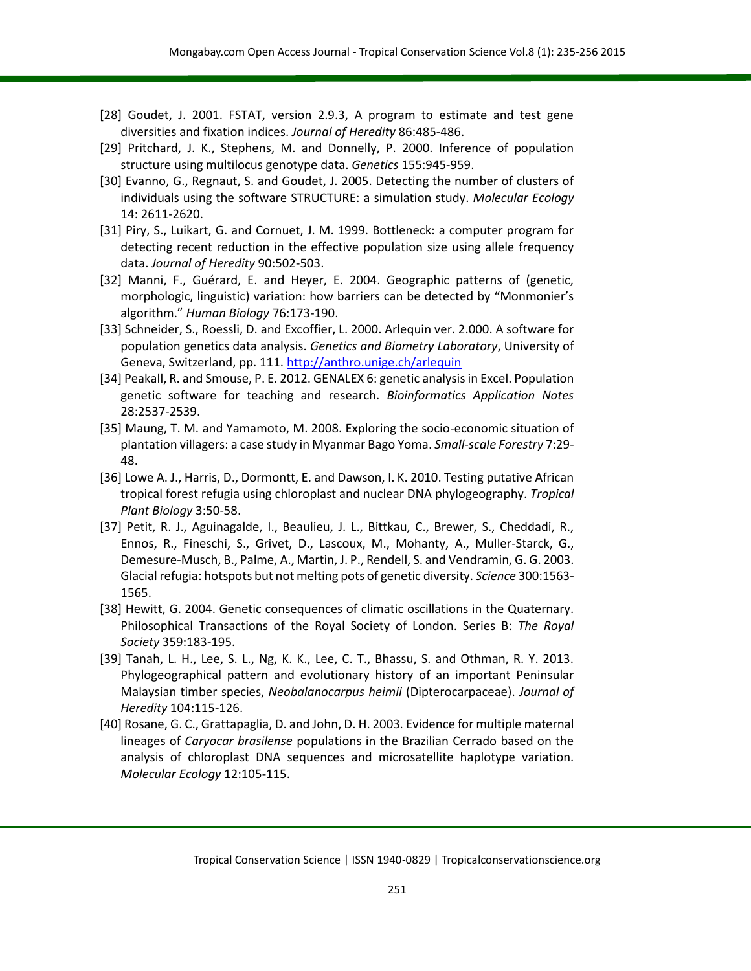- [28] Goudet, J. 2001. FSTAT, version 2.9.3, A program to estimate and test gene diversities and fixation indices. *Journal of Heredity* 86:485-486.
- [29] Pritchard, J. K., Stephens, M. and Donnelly, P. 2000. Inference of population structure using multilocus genotype data. *Genetics* 155:945-959.
- [30] Evanno, G., Regnaut, S. and Goudet, J. 2005. Detecting the number of clusters of individuals using the software STRUCTURE: a simulation study. *Molecular Ecology*  14: 2611-2620.
- [31] Piry, S., Luikart, G. and Cornuet, J. M. 1999. Bottleneck: a computer program for detecting recent reduction in the effective population size using allele frequency data. *Journal of Heredity* 90:502-503.
- [32] Manni, F., Guérard, E. and Heyer, E. 2004. Geographic patterns of (genetic, morphologic, linguistic) variation: how barriers can be detected by "Monmonier's algorithm." *Human Biology* 76:173-190.
- [33] Schneider, S., Roessli, D. and Excoffier, L. 2000. Arlequin ver. 2.000. A software for population genetics data analysis. *Genetics and Biometry Laboratory*, University of Geneva, Switzerland, pp. 111[. http://anthro.unige.ch/arlequin](http://anthro.unige.ch/arlequin)
- [34] Peakall, R. and Smouse, P. E. 2012. GENALEX 6: genetic analysis in Excel. Population genetic software for teaching and research. *Bioinformatics Application Notes* 28:2537-2539.
- [35] Maung, T. M. and Yamamoto, M. 2008. Exploring the socio-economic situation of plantation villagers: a case study in Myanmar Bago Yoma. *Small-scale Forestry* 7:29- 48.
- [36] Lowe A. J., Harris, D., Dormontt, E. and Dawson, I. K. 2010. Testing putative African tropical forest refugia using chloroplast and nuclear DNA phylogeography. *Tropical Plant Biology* 3:50-58.
- [37] Petit, R. J., Aguinagalde, I., Beaulieu, J. L., Bittkau, C., Brewer, S., Cheddadi, R., Ennos, R., Fineschi, S., Grivet, D., Lascoux, M., Mohanty, A., Muller-Starck, G., Demesure-Musch, B., Palme, A., Martin, J. P., Rendell, S. and Vendramin, G. G. 2003. Glacial refugia: hotspots but not melting pots of genetic diversity. *Science* 300:1563- 1565.
- [38] Hewitt, G. 2004. Genetic consequences of climatic oscillations in the Quaternary. Philosophical Transactions of the Royal Society of London. Series B: *The Royal Society* 359:183-195.
- [39] Tanah, L. H., Lee, S. L., Ng, K. K., Lee, C. T., Bhassu, S. and Othman, R. Y. 2013. Phylogeographical pattern and evolutionary history of an important Peninsular Malaysian timber species, *Neobalanocarpus heimii* (Dipterocarpaceae). *Journal of Heredity* 104:115-126.
- [40] Rosane, G. C., Grattapaglia, D. and John, D. H. 2003. Evidence for multiple maternal lineages of *Caryocar brasilense* populations in the Brazilian Cerrado based on the analysis of chloroplast DNA sequences and microsatellite haplotype variation. *Molecular Ecology* 12:105-115.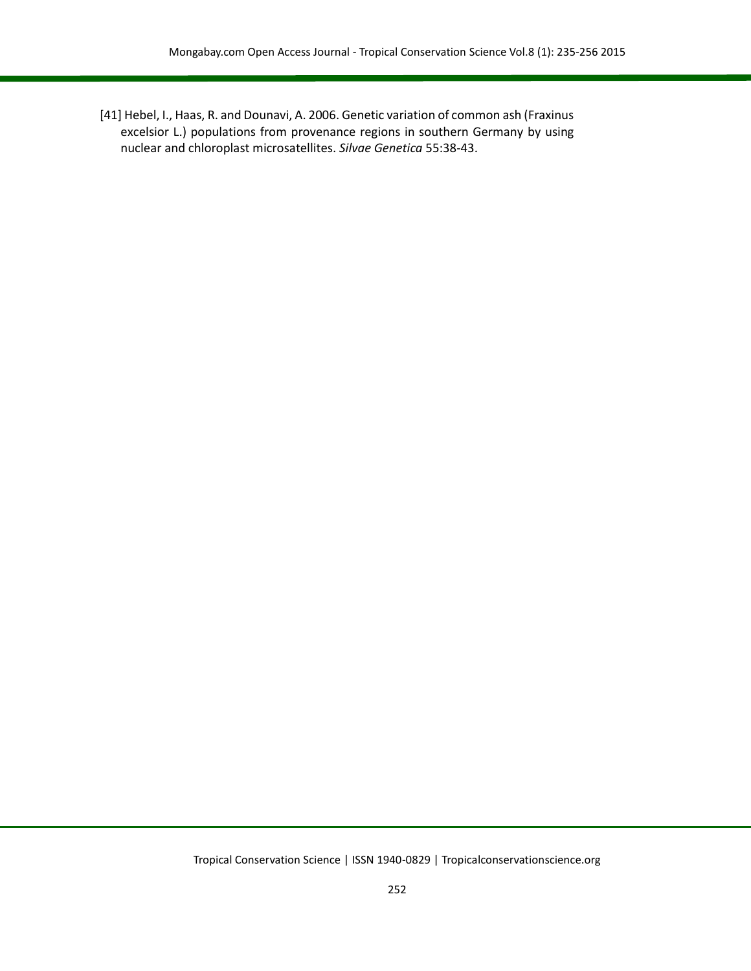[41] Hebel, I., Haas, R. and Dounavi, A. 2006. Genetic variation of common ash (Fraxinus excelsior L.) populations from provenance regions in southern Germany by using nuclear and chloroplast microsatellites. *Silvae Genetica* 55:38-43.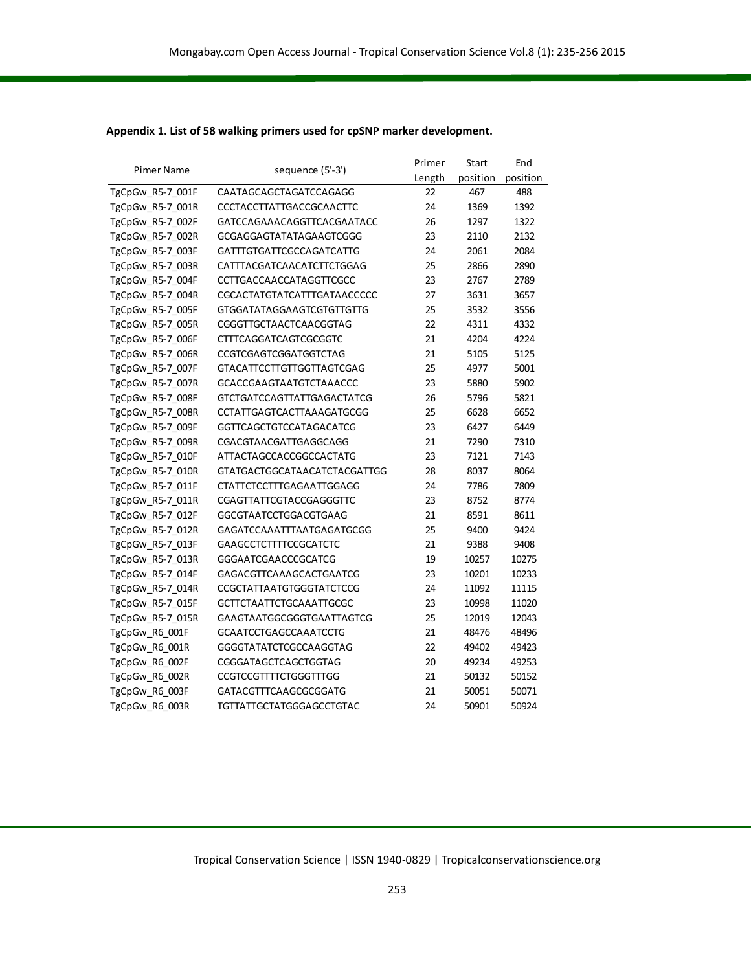| Pimer Name       | sequence (5'-3')                | Primer | Start    | End      |
|------------------|---------------------------------|--------|----------|----------|
|                  |                                 | Length | position | position |
| TgCpGw_R5-7_001F | CAATAGCAGCTAGATCCAGAGG          | 22     | 467      | 488      |
| TgCpGw R5-7 001R | <b>CCCTACCTTATTGACCGCAACTTC</b> | 24     | 1369     | 1392     |
| TgCpGw R5-7 002F | GATCCAGAAACAGGTTCACGAATACC      | 26     | 1297     | 1322     |
| TgCpGw R5-7 002R | GCGAGGAGTATATAGAAGTCGGG         | 23     | 2110     | 2132     |
| TgCpGw R5-7 003F | <b>GATTTGTGATTCGCCAGATCATTG</b> | 24     | 2061     | 2084     |
| TgCpGw_R5-7_003R | CATTTACGATCAACATCTTCTGGAG       | 25     | 2866     | 2890     |
| TgCpGw R5-7 004F | CCTTGACCAACCATAGGTTCGCC         | 23     | 2767     | 2789     |
| TgCpGw R5-7 004R | CGCACTATGTATCATTTGATAACCCCC     | 27     | 3631     | 3657     |
| TgCpGw_R5-7_005F | GTGGATATAGGAAGTCGTGTTGTTG       | 25     | 3532     | 3556     |
| TgCpGw R5-7 005R | CGGGTTGCTAACTCAACGGTAG          | 22     | 4311     | 4332     |
| TgCpGw_R5-7_006F | <b>CTTTCAGGATCAGTCGCGGTC</b>    | 21     | 4204     | 4224     |
| TgCpGw R5-7 006R | <b>CCGTCGAGTCGGATGGTCTAG</b>    | 21     | 5105     | 5125     |
| TgCpGw R5-7 007F | GTACATTCCTTGTTGGTTAGTCGAG       | 25     | 4977     | 5001     |
| TgCpGw_R5-7_007R | <b>GCACCGAAGTAATGTCTAAACCC</b>  | 23     | 5880     | 5902     |
| TgCpGw R5-7 008F | GTCTGATCCAGTTATTGAGACTATCG      | 26     | 5796     | 5821     |
| TgCpGw_R5-7_008R | CCTATTGAGTCACTTAAAGATGCGG       | 25     | 6628     | 6652     |
| TgCpGw R5-7 009F | <b>GGTTCAGCTGTCCATAGACATCG</b>  | 23     | 6427     | 6449     |
| TgCpGw R5-7 009R | CGACGTAACGATTGAGGCAGG           | 21     | 7290     | 7310     |
| TgCpGw_R5-7_010F | ATTACTAGCCACCGGCCACTATG         | 23     | 7121     | 7143     |
| TgCpGw R5-7 010R | GTATGACTGGCATAACATCTACGATTGG    | 28     | 8037     | 8064     |
| TgCpGw_R5-7_011F | <b>CTATTCTCCTTTGAGAATTGGAGG</b> | 24     | 7786     | 7809     |
| TgCpGw R5-7 011R | <b>CGAGTTATTCGTACCGAGGGTTC</b>  | 23     | 8752     | 8774     |
| TgCpGw R5-7 012F | GGCGTAATCCTGGACGTGAAG           | 21     | 8591     | 8611     |
| TgCpGw_R5-7_012R | GAGATCCAAATTTAATGAGATGCGG       | 25     | 9400     | 9424     |
| TgCpGw_R5-7_013F | <b>GAAGCCTCTTTTCCGCATCTC</b>    | 21     | 9388     | 9408     |
| TgCpGw R5-7 013R | GGGAATCGAACCCGCATCG             | 19     | 10257    | 10275    |
| TgCpGw_R5-7_014F | GAGACGTTCAAAGCACTGAATCG         | 23     | 10201    | 10233    |
| TgCpGw R5-7 014R | CCGCTATTAATGTGGGTATCTCCG        | 24     | 11092    | 11115    |
| TgCpGw_R5-7_015F | <b>GCTTCTAATTCTGCAAATTGCGC</b>  | 23     | 10998    | 11020    |
| TgCpGw_R5-7_015R | GAAGTAATGGCGGGTGAATTAGTCG       | 25     | 12019    | 12043    |
| TgCpGw R6 001F   | <b>GCAATCCTGAGCCAAATCCTG</b>    | 21     | 48476    | 48496    |
| TgCpGw_R6_001R   | GGGGTATATCTCGCCAAGGTAG          | 22     | 49402    | 49423    |
| TgCpGw_R6_002F   | CGGGATAGCTCAGCTGGTAG            | 20     | 49234    | 49253    |
| TgCpGw_R6_002R   | <b>CCGTCCGTTTTCTGGGTTTGG</b>    | 21     | 50132    | 50152    |
| TgCpGw R6 003F   | <b>GATACGTTTCAAGCGCGGATG</b>    | 21     | 50051    | 50071    |
| TgCpGw R6 003R   | <b>TGTTATTGCTATGGGAGCCTGTAC</b> | 24     | 50901    | 50924    |

**Appendix 1. List of 58 walking primers used for cpSNP marker development.**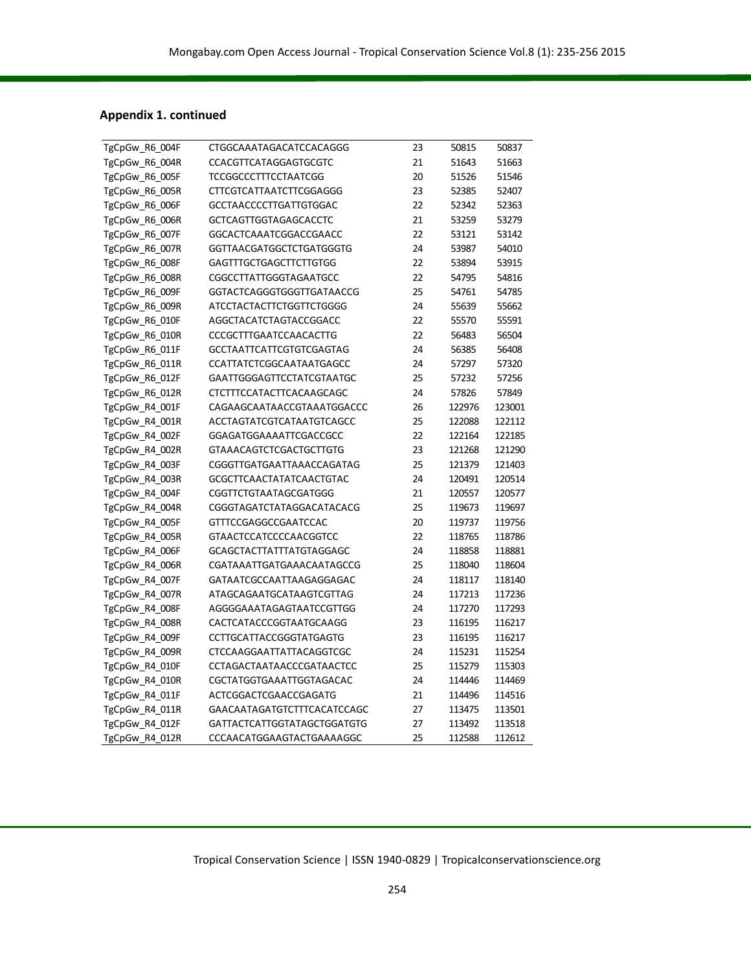### **Appendix 1. continued**

| TgCpGw_R6_004F | CTGGCAAATAGACATCCACAGGG            | 23 | 50815  | 50837  |
|----------------|------------------------------------|----|--------|--------|
| TgCpGw_R6_004R | <b>CCACGTTCATAGGAGTGCGTC</b>       | 21 | 51643  | 51663  |
| TgCpGw_R6_005F | <b>TCCGGCCCTTTCCTAATCGG</b>        | 20 | 51526  | 51546  |
| TgCpGw_R6_005R | <b>CTTCGTCATTAATCTTCGGAGGG</b>     | 23 | 52385  | 52407  |
| TgCpGw R6 006F | GCCTAACCCCTTGATTGTGGAC             | 22 | 52342  | 52363  |
| TgCpGw_R6_006R | <b>GCTCAGTTGGTAGAGCACCTC</b>       | 21 | 53259  | 53279  |
| TgCpGw_R6_007F | GGCACTCAAATCGGACCGAACC             | 22 | 53121  | 53142  |
| TgCpGw_R6_007R | GGTTAACGATGGCTCTGATGGGTG           | 24 | 53987  | 54010  |
| TgCpGw R6 008F | GAGTTTGCTGAGCTTCTTGTGG             | 22 | 53894  | 53915  |
| TgCpGw_R6_008R | CGGCCTTATTGGGTAGAATGCC             | 22 | 54795  | 54816  |
| TgCpGw R6 009F | GGTACTCAGGGTGGGTTGATAACCG          | 25 | 54761  | 54785  |
| TgCpGw_R6_009R | <b>ATCCTACTACTTCTGGTTCTGGGG</b>    | 24 | 55639  | 55662  |
| TgCpGw R6 010F | AGGCTACATCTAGTACCGGACC             | 22 | 55570  | 55591  |
| TgCpGw_R6_010R | CCCGCTTTGAATCCAACACTTG             | 22 | 56483  | 56504  |
| TgCpGw R6 011F | <b>GCCTAATTCATTCGTGTCGAGTAG</b>    | 24 | 56385  | 56408  |
| TgCpGw_R6_011R | CCATTATCTCGGCAATAATGAGCC           | 24 | 57297  | 57320  |
| TgCpGw_R6_012F | GAATTGGGAGTTCCTATCGTAATGC          | 25 | 57232  | 57256  |
| TgCpGw R6 012R | <b>CTCTTTCCATACTTCACAAGCAGC</b>    | 24 | 57826  | 57849  |
| TgCpGw R4 001F | CAGAAGCAATAACCGTAAATGGACCC         | 26 | 122976 | 123001 |
| TgCpGw R4 001R | ACCTAGTATCGTCATAATGTCAGCC          | 25 | 122088 | 122112 |
| TgCpGw_R4_002F | GGAGATGGAAAATTCGACCGCC             | 22 | 122164 | 122185 |
| TgCpGw_R4_002R | <b>GTAAACAGTCTCGACTGCTTGTG</b>     | 23 | 121268 | 121290 |
| TgCpGw_R4_003F | CGGGTTGATGAATTAAACCAGATAG          | 25 | 121379 | 121403 |
| TgCpGw R4 003R | <b>GCGCTTCAACTATATCAACTGTAC</b>    | 24 | 120491 | 120514 |
| TgCpGw_R4_004F | CGGTTCTGTAATAGCGATGGG              | 21 | 120557 | 120577 |
| TgCpGw_R4_004R | CGGGTAGATCTATAGGACATACACG          | 25 | 119673 | 119697 |
| TgCpGw_R4_005F | GTTTCCGAGGCCGAATCCAC               | 20 | 119737 | 119756 |
| TgCpGw R4 005R | <b>GTAACTCCATCCCCAACGGTCC</b>      | 22 | 118765 | 118786 |
| TgCpGw_R4_006F | <b>GCAGCTACTTATTTATGTAGGAGC</b>    | 24 | 118858 | 118881 |
| TgCpGw R4 006R | CGATAAATTGATGAAACAATAGCCG          | 25 | 118040 | 118604 |
| TgCpGw_R4_007F | GATAATCGCCAATTAAGAGGAGAC           | 24 | 118117 | 118140 |
| TgCpGw_R4_007R | ATAGCAGAATGCATAAGTCGTTAG           | 24 | 117213 | 117236 |
| TgCpGw_R4_008F | AGGGGAAATAGAGTAATCCGTTGG           | 24 | 117270 | 117293 |
| TgCpGw R4 008R | CACTCATACCCGGTAATGCAAGG            | 23 | 116195 | 116217 |
| TgCpGw_R4_009F | <b>CCTTGCATTACCGGGTATGAGTG</b>     | 23 | 116195 | 116217 |
| TgCpGw R4 009R | <b>CTCCAAGGAATTATTACAGGTCGC</b>    | 24 | 115231 | 115254 |
| TgCpGw_R4_010F | CCTAGACTAATAACCCGATAACTCC          | 25 | 115279 | 115303 |
| TgCpGw_R4_010R | CGCTATGGTGAAATTGGTAGACAC           | 24 | 114446 | 114469 |
| TgCpGw_R4_011F | ACTCGGACTCGAACCGAGATG              | 21 | 114496 | 114516 |
| TgCpGw_R4_011R | GAACAATAGATGTCTTTCACATCCAGC        | 27 | 113475 | 113501 |
| TgCpGw R4 012F | <b>GATTACTCATTGGTATAGCTGGATGTG</b> | 27 | 113492 | 113518 |
| TgCpGw_R4_012R | CCCAACATGGAAGTACTGAAAAGGC          | 25 | 112588 | 112612 |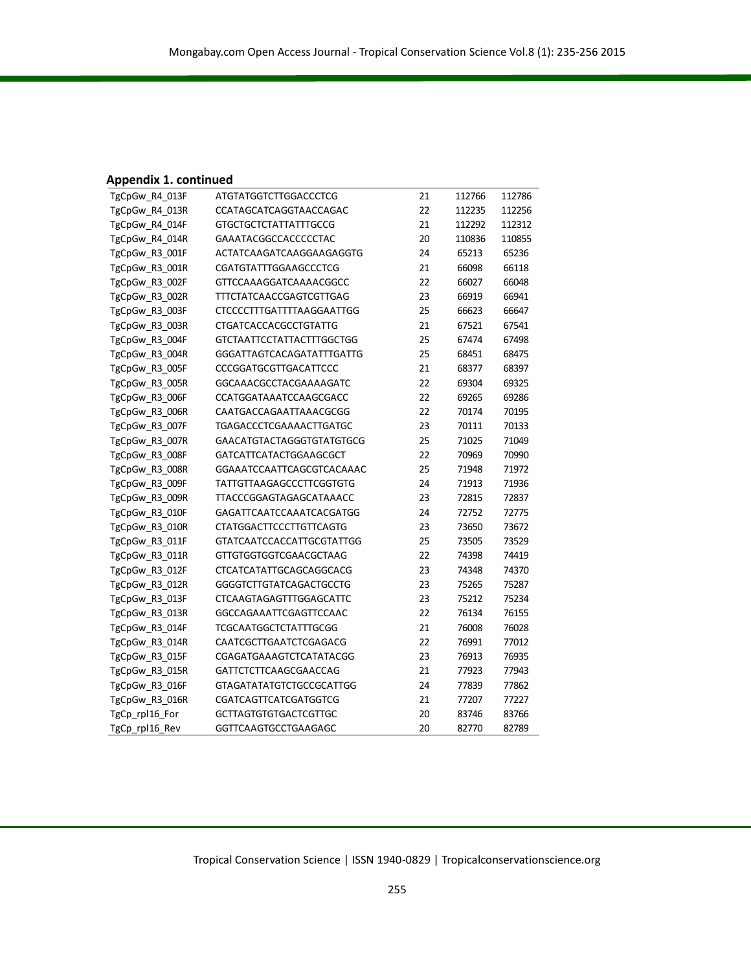### **Appendix 1. continued**

| TgCpGw R4 013F | ATGTATGGTCTTGGACCCTCG            | 21 | 112766 | 112786 |
|----------------|----------------------------------|----|--------|--------|
| TgCpGw R4 013R | CCATAGCATCAGGTAACCAGAC           | 22 | 112235 | 112256 |
| TgCpGw R4 014F | <b>GTGCTGCTCTATTATTTGCCG</b>     | 21 | 112292 | 112312 |
| TgCpGw R4 014R | <b>GAAATACGGCCACCCCCTAC</b>      | 20 | 110836 | 110855 |
| TgCpGw R3 001F | ACTATCAAGATCAAGGAAGAGGTG         | 24 | 65213  | 65236  |
| TgCpGw_R3_001R | CGATGTATTTGGAAGCCCTCG            | 21 | 66098  | 66118  |
| TgCpGw_R3_002F | <b>GTTCCAAAGGATCAAAACGGCC</b>    | 22 | 66027  | 66048  |
| TgCpGw R3 002R | TTTCTATCAACCGAGTCGTTGAG          | 23 | 66919  | 66941  |
| TgCpGw R3 003F | <b>CTCCCCTTTGATTTTAAGGAATTGG</b> | 25 | 66623  | 66647  |
| TgCpGw_R3_003R | <b>CTGATCACCACGCCTGTATTG</b>     | 21 | 67521  | 67541  |
| TgCpGw R3 004F | <b>GTCTAATTCCTATTACTTTGGCTGG</b> | 25 | 67474  | 67498  |
| TgCpGw_R3_004R | GGGATTAGTCACAGATATTTGATTG        | 25 | 68451  | 68475  |
| TgCpGw_R3_005F | CCCGGATGCGTTGACATTCCC            | 21 | 68377  | 68397  |
| TgCpGw_R3_005R | GGCAAACGCCTACGAAAAGATC           | 22 | 69304  | 69325  |
| TgCpGw_R3_006F | CCATGGATAAATCCAAGCGACC           | 22 | 69265  | 69286  |
| TgCpGw R3 006R | CAATGACCAGAATTAAACGCGG           | 22 | 70174  | 70195  |
| TgCpGw R3 007F | TGAGACCCTCGAAAACTTGATGC          | 23 | 70111  | 70133  |
| TgCpGw R3 007R | GAACATGTACTAGGGTGTATGTGCG        | 25 | 71025  | 71049  |
| TgCpGw_R3_008F | GATCATTCATACTGGAAGCGCT           | 22 | 70969  | 70990  |
| TgCpGw R3 008R | GGAAATCCAATTCAGCGTCACAAAC        | 25 | 71948  | 71972  |
| TgCpGw_R3_009F | TATTGTTAAGAGCCCTTCGGTGTG         | 24 | 71913  | 71936  |
| TgCpGw_R3_009R | TTACCCGGAGTAGAGCATAAACC          | 23 | 72815  | 72837  |
| TgCpGw_R3_010F | GAGATTCAATCCAAATCACGATGG         | 24 | 72752  | 72775  |
| TgCpGw R3 010R | <b>CTATGGACTTCCCTTGTTCAGTG</b>   | 23 | 73650  | 73672  |
| TgCpGw_R3_011F | <b>GTATCAATCCACCATTGCGTATTGG</b> | 25 | 73505  | 73529  |
| TgCpGw_R3_011R | <b>GTTGTGGTGGTCGAACGCTAAG</b>    | 22 | 74398  | 74419  |
| TgCpGw_R3_012F | <b>CTCATCATATTGCAGCAGGCACG</b>   | 23 | 74348  | 74370  |
| TgCpGw_R3_012R | <b>GGGGTCTTGTATCAGACTGCCTG</b>   | 23 | 75265  | 75287  |
| TgCpGw_R3_013F | <b>CTCAAGTAGAGTTTGGAGCATTC</b>   | 23 | 75212  | 75234  |
| TgCpGw_R3_013R | <b>GGCCAGAAATTCGAGTTCCAAC</b>    | 22 | 76134  | 76155  |
| TgCpGw R3 014F | TCGCAATGGCTCTATTTGCGG            | 21 | 76008  | 76028  |
| TgCpGw R3 014R | CAATCGCTTGAATCTCGAGACG           | 22 | 76991  | 77012  |
| TgCpGw R3 015F | CGAGATGAAAGTCTCATATACGG          | 23 | 76913  | 76935  |
| TgCpGw R3 015R | <b>GATTCTCTTCAAGCGAACCAG</b>     | 21 | 77923  | 77943  |
| TgCpGw_R3_016F | <b>GTAGATATATGTCTGCCGCATTGG</b>  | 24 | 77839  | 77862  |
| TgCpGw_R3_016R | CGATCAGTTCATCGATGGTCG            | 21 | 77207  | 77227  |
| TgCp_rpl16_For | <b>GCTTAGTGTGTGACTCGTTGC</b>     | 20 | 83746  | 83766  |
| TgCp rpl16 Rev | GGTTCAAGTGCCTGAAGAGC             | 20 | 82770  | 82789  |